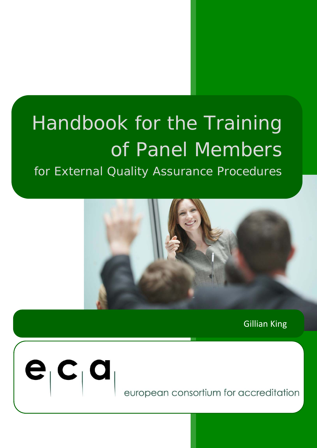# Handbook for the Training of Panel Members for External Quality Assurance Procedures



Gillian King



european consortium for accreditation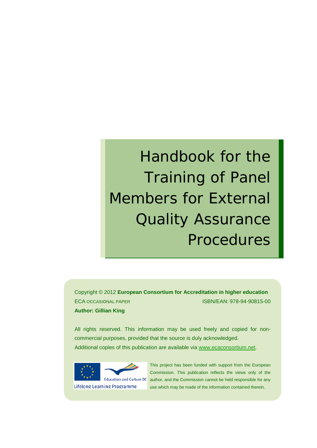# Handbook for the Training of Panel Members for External Quality Assurance Procedures

Copyright © 2012 **European Consortium for Accreditation in higher education** ECA OCCASIONAL PAPER ISBN/EAN: 978-94-90815-00 **Author: Gillian King**

All rights reserved. This information may be used freely and copied for noncommercial purposes, provided that the source is duly acknowledged. Additional copies of this publication are available via [www.ecaconsortium.net.](http://www.ecaconsortium.net/)



**Lifelong Learning Programme** 

This project has been funded with support from the European Commission. This publication reflects the views only of the author, and the Commission cannot be held responsible for any use which may be made of the information contained therein.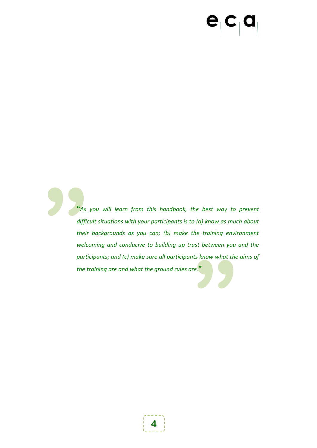# $\mathbf{e}_{\vert} \mathbf{c}_{\vert} \mathbf{a}$

**Example 18 And Strategier Contains the Contract of the Contract of the Contract of the Contract of the Contract of the Contract of the Contract of the Contract of the Contract of the Contract of the Contract of the Contra "** As<br>diffice<br>their<br>weld<br>part.<br>the t **"***As you will learn from this handbook, the best way to prevent difficult situations with your participants is to (a) know as much about their backgrounds as you can; (b) make the training environment welcoming and conducive to building up trust between you and the participants; and (c) make sure all participants know what the aims of the training are and what the ground rules are.***"**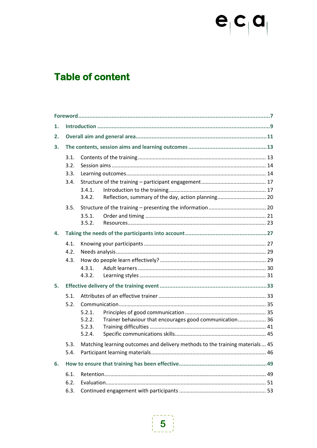# $e_{\vert}c_{\vert}a_{\vert}$

# **Table of content**

| 1. |      |                  |                                                                               |  |  |  |
|----|------|------------------|-------------------------------------------------------------------------------|--|--|--|
| 2. |      |                  |                                                                               |  |  |  |
| 3. |      |                  |                                                                               |  |  |  |
|    | 3.1. |                  |                                                                               |  |  |  |
|    | 3.2. |                  |                                                                               |  |  |  |
|    | 3.3. |                  |                                                                               |  |  |  |
|    | 3.4. |                  |                                                                               |  |  |  |
|    |      | 3.4.1.<br>3.4.2. | Reflection, summary of the day, action planning 20                            |  |  |  |
|    | 3.5. |                  |                                                                               |  |  |  |
|    |      | 3.5.1.           |                                                                               |  |  |  |
|    |      | 3.5.2.           |                                                                               |  |  |  |
| 4. |      |                  |                                                                               |  |  |  |
|    | 4.1. |                  |                                                                               |  |  |  |
|    | 4.2. |                  |                                                                               |  |  |  |
|    | 4.3. |                  |                                                                               |  |  |  |
|    |      | 4.3.1.           |                                                                               |  |  |  |
|    |      | 4.3.2.           |                                                                               |  |  |  |
| 5. |      |                  |                                                                               |  |  |  |
|    | 5.1. |                  |                                                                               |  |  |  |
|    | 5.2. |                  |                                                                               |  |  |  |
|    |      | 5.2.1.           |                                                                               |  |  |  |
|    |      | 5.2.2.           | Trainer behaviour that encourages good communication 36                       |  |  |  |
|    |      | 5.2.3.<br>5.2.4. |                                                                               |  |  |  |
|    |      |                  |                                                                               |  |  |  |
|    | 5.3. |                  | Matching learning outcomes and delivery methods to the training materials  45 |  |  |  |
|    | 5.4. |                  |                                                                               |  |  |  |
| 6. |      |                  |                                                                               |  |  |  |
|    | 6.1. |                  |                                                                               |  |  |  |
|    | 6.2. |                  |                                                                               |  |  |  |
|    | 6.3. |                  |                                                                               |  |  |  |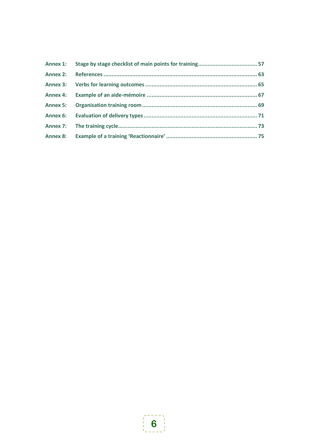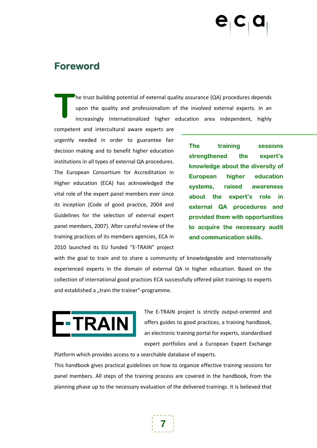## <span id="page-6-0"></span>**Foreword**

he trust building potential of external quality assurance (QA) procedures depends upon the quality and professionalism of the involved external experts. In an increasingly internationalized higher education area independent, highly **T**

competent and intercultural aware experts are urgently needed in order to guarantee fair decision making and to benefit higher education institutions in all types of external QA procedures. The European Consortium for Accreditation in Higher education (ECA) has acknowledged the vital role of the expert panel members ever since its inception (Code of good practice, 2004 and Guidelines for the selection of external expert panel members, 2007). After careful review of the training practices of its members agencies, ECA in 2010 launched its EU funded "E-TRAIN" project

**The training sessions strengthened the expert's knowledge about the diversity of European higher education systems, raised awareness about the expert's role in external QA procedures and provided them with opportunities to acquire the necessary audit and communication skills.**

with the goal to train and to share a community of knowledgeable and internationally experienced experts in the domain of external QA in higher education. Based on the collection of international good practices ECA successfully offered pilot trainings to experts and established a "train the trainer"-programme.



The E-TRAIN project is strictly output-oriented and offers guides to good practices, a training handbook, an electronic training portal for experts, standardised expert portfolios and a European Expert Exchange

Platform which provides access to a searchable database of experts.

This handbook gives practical guidelines on how to organize effective training sessions for panel members. All steps of the training process are covered in the handbook, from the planning phase up to the necessary evaluation of the delivered trainings. It is believed that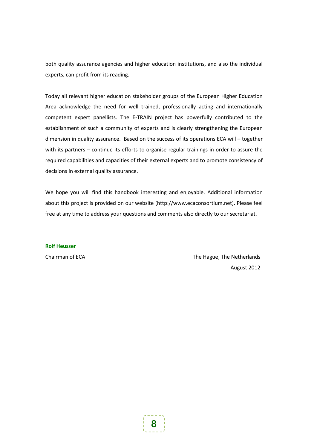both quality assurance agencies and higher education institutions, and also the individual experts, can profit from its reading.

Today all relevant higher education stakeholder groups of the European Higher Education Area acknowledge the need for well trained, professionally acting and internationally competent expert panellists. The E-TRAIN project has powerfully contributed to the establishment of such a community of experts and is clearly strengthening the European dimension in quality assurance. Based on the success of its operations ECA will – together with its partners – continue its efforts to organise regular trainings in order to assure the required capabilities and capacities of their external experts and to promote consistency of decisions in external quality assurance.

We hope you will find this handbook interesting and enjoyable. Additional information about this project is provided on our website (http://www.ecaconsortium.net). Please feel free at any time to address your questions and comments also directly to our secretariat.

**Rolf Heusser**

Chairman of ECA The Hague, The Netherlands August 2012

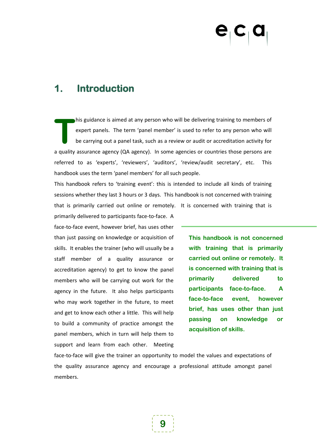## <span id="page-8-0"></span>**1. Introduction**

his guidance is aimed at any person who will be delivering training to members of expert panels. The term 'panel member' is used to refer to any person who will be carrying out a panel task, such as a review or audit or accreditation activity for a quality assurance agency (QA agency). In some agencies or countries those persons are referred to as 'experts', 'reviewers', 'auditors', 'review/audit secretary', etc. This handbook uses the term 'panel members' for all such people. **T**

This handbook refers to 'training event': this is intended to include all kinds of training sessions whether they last 3 hours or 3 days. This handbook is not concerned with training that is primarily carried out online or remotely. It is concerned with training that is

primarily delivered to participants face-to-face. A face-to-face event, however brief, has uses other than just passing on knowledge or acquisition of skills. It enables the trainer (who will usually be a staff member of a quality assurance or accreditation agency) to get to know the panel members who will be carrying out work for the agency in the future. It also helps participants who may work together in the future, to meet and get to know each other a little. This will help to build a community of practice amongst the panel members, which in turn will help them to support and learn from each other. Meeting

**This handbook is not concerned with training that is primarily carried out online or remotely. It is concerned with training that is primarily delivered to participants face-to-face. A face-to-face event, however brief, has uses other than just passing on knowledge or acquisition of skills.**

face-to-face will give the trainer an opportunity to model the values and expectations of the quality assurance agency and encourage a professional attitude amongst panel members.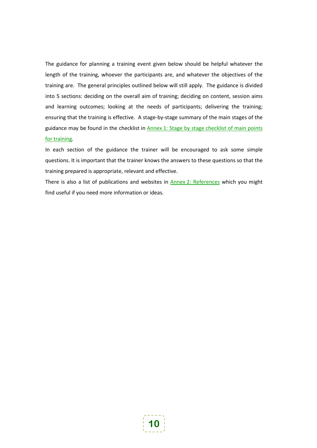The guidance for planning a training event given below should be helpful whatever the length of the training, whoever the participants are, and whatever the objectives of the training are. The general principles outlined below will still apply. The guidance is divided into 5 sections: deciding on the overall aim of training; deciding on content, session aims and learning outcomes; looking at the needs of participants; delivering the training; ensuring that the training is effective. A stage-by-stage summary of the main stages of the guidance may be found in the checklist in Annex [1: Stage by stage checklist of main points](#page-56-0)  [for training.](#page-56-0)

In each section of the guidance the trainer will be encouraged to ask some simple questions. It is important that the trainer knows the answers to these questions so that the training prepared is appropriate, relevant and effective.

There is also a list of publications and websites in **Annex [2: References](#page-62-0)** which you might find useful if you need more information or ideas.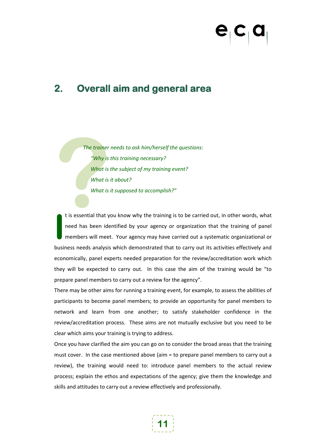## <span id="page-10-0"></span>**2. Overall aim and general area**

The trainer<br>
"Why is<br>
What is<br>
What is<br>
What is<br>
t is essential that y *The trainer needs to ask him/herself the questions: "Why is this training necessary? What is the subject of my training event? What is it about? What is it supposed to accomplish?"*

t is essential that you know why the training is to be carried out, in other words, what need has been identified by your agency or organization that the training of panel members will meet. Your agency may have carried out a systematic organizational or business needs analysis which demonstrated that to carry out its activities effectively and economically, panel experts needed preparation for the review/accreditation work which they will be expected to carry out. In this case the aim of the training would be "to prepare panel members to carry out a review for the agency". **I**

There may be other aims for running a training event, for example, to assess the abilities of participants to become panel members; to provide an opportunity for panel members to network and learn from one another; to satisfy stakeholder confidence in the review/accreditation process. These aims are not mutually exclusive but you need to be clear which aims your training is trying to address.

Once you have clarified the aim you can go on to consider the broad areas that the training must cover. In the case mentioned above (aim = to prepare panel members to carry out a review), the training would need to: introduce panel members to the actual review process; explain the ethos and expectations of the agency; give them the knowledge and skills and attitudes to carry out a review effectively and professionally.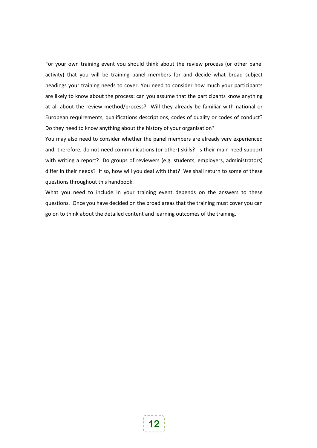For your own training event you should think about the review process (or other panel activity) that you will be training panel members for and decide what broad subject headings your training needs to cover. You need to consider how much your participants are likely to know about the process: can you assume that the participants know anything at all about the review method/process? Will they already be familiar with national or European requirements, qualifications descriptions, codes of quality or codes of conduct? Do they need to know anything about the history of your organisation?

You may also need to consider whether the panel members are already very experienced and, therefore, do not need communications (or other) skills? Is their main need support with writing a report? Do groups of reviewers (e.g. students, employers, administrators) differ in their needs? If so, how will you deal with that? We shall return to some of these questions throughout this handbook.

What you need to include in your training event depends on the answers to these questions. Once you have decided on the broad areas that the training must cover you can go on to think about the detailed content and learning outcomes of the training.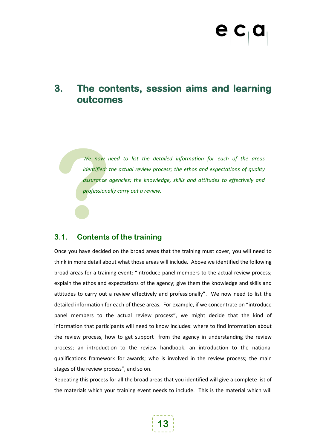## <span id="page-12-0"></span>**3. The contents, session aims and learning outcomes**

We now r<br>
identified:<br>
assurance<br>
professiona *We now need to list the detailed information for each of the areas identified: the actual review process; the ethos and expectations of quality assurance agencies; the knowledge, skills and attitudes to effectively and professionally carry out a review.*

### <span id="page-12-1"></span>**3.1. Contents of the training**

Once you have decided on the broad areas that the training must cover, you will need to think in more detail about what those areas will include. Above we identified the following broad areas for a training event: "introduce panel members to the actual review process; explain the ethos and expectations of the agency; give them the knowledge and skills and attitudes to carry out a review effectively and professionally". We now need to list the detailed information for each of these areas. For example, if we concentrate on "introduce panel members to the actual review process", we might decide that the kind of information that participants will need to know includes: where to find information about the review process, how to get support from the agency in understanding the review process; an introduction to the review handbook; an introduction to the national qualifications framework for awards; who is involved in the review process; the main stages of the review process", and so on.

Repeating this process for all the broad areas that you identified will give a complete list of the materials which your training event needs to include. This is the material which will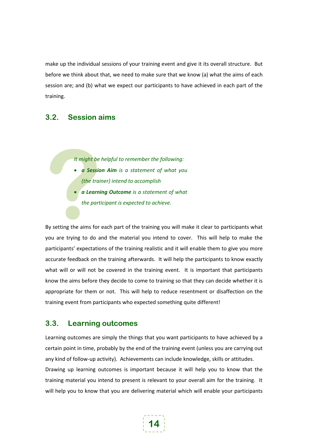make up the individual sessions of your training event and give it its overall structure. But before we think about that, we need to make sure that we know (a) what the aims of each session are; and (b) what we expect our participants to have achieved in each part of the training.

### <span id="page-13-0"></span>**3.2. Session aims**

*It might be helpful to remember the following:* 

- *a Session Aim is a statement of what you (the trainer) intend to accomplish*
- *a Learning Outcome is a statement of what the participant is expected to achieve.*

By setting the aims for each part of the training you will make it clear to participants what you are trying to do and the material you intend to cover. This will help to make the participants' expectations of the training realistic and it will enable them to give you more accurate feedback on the training afterwards. It will help the participants to know exactly what will or will not be covered in the training event. It is important that participants know the aims before they decide to come to training so that they can decide whether it is appropriate for them or not. This will help to reduce resentment or disaffection on the training event from participants who expected something quite different! **1t might be**<br>
• **a Sessio**<br> **(the trai)**<br>
• **a Learni**<br>
the part<br> **By setting the aims for** 

### <span id="page-13-1"></span>**3.3. Learning outcomes**

Learning outcomes are simply the things that you want participants to have achieved by a certain point in time, probably by the end of the training event (unless you are carrying out any kind of follow-up activity). Achievements can include knowledge, skills or attitudes. Drawing up learning outcomes is important because it will help you to know that the training material you intend to present is relevant to your overall aim for the training. It will help you to know that you are delivering material which will enable your participants

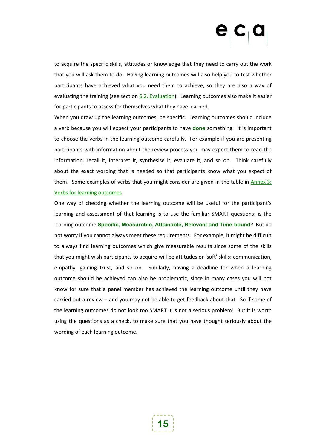to acquire the specific skills, attitudes or knowledge that they need to carry out the work that you will ask them to do. Having learning outcomes will also help you to test whether participants have achieved what you need them to achieve, so they are also a way of evaluating the training (see sectio[n 6.2.](#page-50-0) [Evaluation](#page-50-0)). Learning outcomes also make it easier for participants to assess for themselves what they have learned.

When you draw up the learning outcomes, be specific. Learning outcomes should include a verb because you will expect your participants to have **done** something. It is important to choose the verbs in the learning outcome carefully. For example if you are presenting participants with information about the review process you may expect them to read the information, recall it, interpret it, synthesise it, evaluate it, and so on. Think carefully about the exact wording that is needed so that participants know what you expect of them. Some examples of verbs that you might consider are given in the table in [Annex](#page-64-0) 3: [Verbs for learning outcomes.](#page-64-0)

One way of checking whether the learning outcome will be useful for the participant's learning and assessment of that learning is to use the familiar SMART questions: is the learning outcome **Specific, Measurable, Attainable, Relevant and Time-bound**? But do not worry if you cannot always meet these requirements. For example, it might be difficult to always find learning outcomes which give measurable results since some of the skills that you might wish participants to acquire will be attitudes or 'soft' skills: communication, empathy, gaining trust, and so on. Similarly, having a deadline for when a learning outcome should be achieved can also be problematic, since in many cases you will not know for sure that a panel member has achieved the learning outcome until they have carried out a review – and you may not be able to get feedback about that. So if some of the learning outcomes do not look too SMART it is not a serious problem! But it is worth using the questions as a check, to make sure that you have thought seriously about the wording of each learning outcome.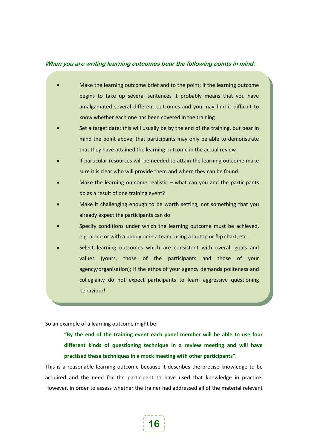#### **When you are writing learning outcomes bear the following points in mind:**

- Make the learning outcome brief and to the point; if the learning outcome begins to take up several sentences it probably means that you have amalgamated several different outcomes and you may find it difficult to know whether each one has been covered in the training
- Set a target date; this will usually be by the end of the training, but bear in mind the point above, that participants may only be able to demonstrate that they have attained the learning outcome in the actual review
- If particular resources will be needed to attain the learning outcome make sure it is clear who will provide them and where they can be found
- Make the learning outcome realistic  $-$  what can you and the participants do as a result of one training event?
- Make it challenging enough to be worth setting, not something that you already expect the participants can do
- Specify conditions under which the learning outcome must be achieved, e.g. alone or with a buddy or in a team; using a laptop or flip chart, etc.
- Select learning outcomes which are consistent with overall goals and values (yours, those of the participants and those of your agency/organisation); if the ethos of your agency demands politeness and collegiality do not expect participants to learn aggressive questioning behaviour!

So an example of a learning outcome might be:

**"By the end of the training event each panel member will be able to use four different kinds of questioning technique in a review meeting and will have practised these techniques in a mock meeting with other participants".** 

This is a reasonable learning outcome because it describes the precise knowledge to be acquired and the need for the participant to have used that knowledge in practice. However, in order to assess whether the trainer had addressed all of the material relevant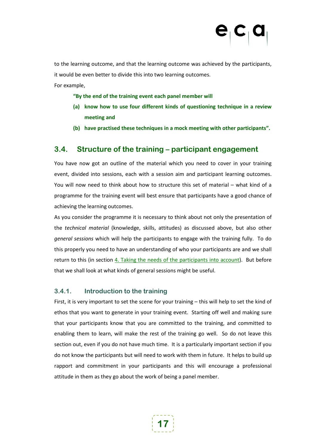to the learning outcome, and that the learning outcome was achieved by the participants, it would be even better to divide this into two learning outcomes.

For example,

#### **"By the end of the training event each panel member will**

- **(a) know how to use four different kinds of questioning technique in a review meeting and**
- **(b) have practised these techniques in a mock meeting with other participants".**

### <span id="page-16-0"></span>**3.4. Structure of the training – participant engagement**

You have now got an outline of the material which you need to cover in your training event, divided into sessions, each with a session aim and participant learning outcomes. You will now need to think about how to structure this set of material – what kind of a programme for the training event will best ensure that participants have a good chance of achieving the learning outcomes.

As you consider the programme it is necessary to think about not only the presentation of the *technical material* (knowledge, skills, attitudes) as discussed above, but also other *general sessions* which will help the participants to engage with the training fully. To do this properly you need to have an understanding of who your participants are and we shall return to this (in section [4.](#page-26-0) [Taking the needs of the participants into account](#page-26-0)). But before that we shall look at what kinds of general sessions might be useful.

### <span id="page-16-1"></span>**3.4.1. Introduction to the training**

First, it is very important to set the scene for your training – this will help to set the kind of ethos that you want to generate in your training event. Starting off well and making sure that your participants know that you are committed to the training, and committed to enabling them to learn, will make the rest of the training go well. So do not leave this section out, even if you do not have much time. It is a particularly important section if you do not know the participants but will need to work with them in future. It helps to build up rapport and commitment in your participants and this will encourage a professional attitude in them as they go about the work of being a panel member.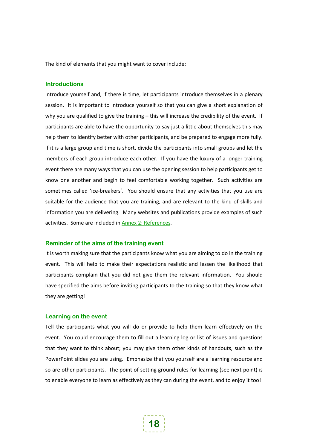The kind of elements that you might want to cover include:

#### **Introductions**

Introduce yourself and, if there is time, let participants introduce themselves in a plenary session. It is important to introduce yourself so that you can give a short explanation of why you are qualified to give the training – this will increase the credibility of the event. If participants are able to have the opportunity to say just a little about themselves this may help them to identify better with other participants, and be prepared to engage more fully. If it is a large group and time is short, divide the participants into small groups and let the members of each group introduce each other. If you have the luxury of a longer training event there are many ways that you can use the opening session to help participants get to know one another and begin to feel comfortable working together. Such activities are sometimes called 'ice-breakers'. You should ensure that any activities that you use are suitable for the audience that you are training, and are relevant to the kind of skills and information you are delivering. Many websites and publications provide examples of such activities. Some are included in Annex [2: References.](#page-62-0)

#### **Reminder of the aims of the training event**

It is worth making sure that the participants know what you are aiming to do in the training event. This will help to make their expectations realistic and lessen the likelihood that participants complain that you did not give them the relevant information. You should have specified the aims before inviting participants to the training so that they know what they are getting!

#### **Learning on the event**

Tell the participants what you will do or provide to help them learn effectively on the event. You could encourage them to fill out a learning log or list of issues and questions that they want to think about; you may give them other kinds of handouts, such as the PowerPoint slides you are using. Emphasize that you yourself are a learning resource and so are other participants. The point of setting ground rules for learning (see next point) is to enable everyone to learn as effectively as they can during the event, and to enjoy it too!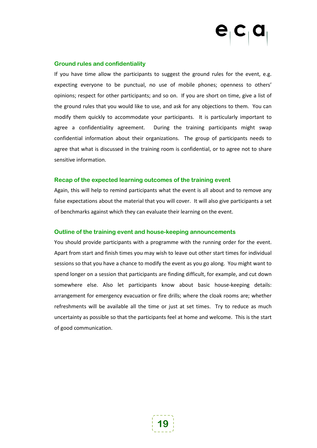#### **Ground rules and confidentiality**

If you have time allow the participants to suggest the ground rules for the event, e.g. expecting everyone to be punctual, no use of mobile phones; openness to others' opinions; respect for other participants; and so on. If you are short on time, give a list of the ground rules that you would like to use, and ask for any objections to them. You can modify them quickly to accommodate your participants. It is particularly important to agree a confidentiality agreement. During the training participants might swap confidential information about their organizations. The group of participants needs to agree that what is discussed in the training room is confidential, or to agree not to share sensitive information.

#### **Recap of the expected learning outcomes of the training event**

Again, this will help to remind participants what the event is all about and to remove any false expectations about the material that you will cover. It will also give participants a set of benchmarks against which they can evaluate their learning on the event.

#### **Outline of the training event and house-keeping announcements**

You should provide participants with a programme with the running order for the event. Apart from start and finish times you may wish to leave out other start times for individual sessions so that you have a chance to modify the event as you go along. You might want to spend longer on a session that participants are finding difficult, for example, and cut down somewhere else. Also let participants know about basic house-keeping details: arrangement for emergency evacuation or fire drills; where the cloak rooms are; whether refreshments will be available all the time or just at set times. Try to reduce as much uncertainty as possible so that the participants feel at home and welcome. This is the start of good communication.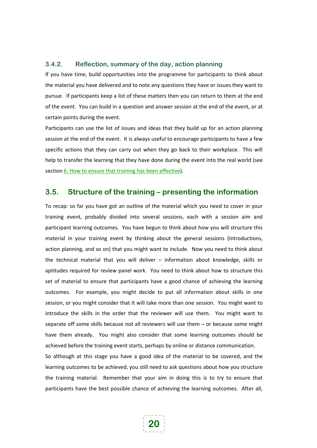#### <span id="page-19-0"></span>**3.4.2. Reflection, summary of the day, action planning**

If you have time, build opportunities into the programme for participants to think about the material you have delivered and to note any questions they have or issues they want to pursue. If participants keep a list of these matters then you can return to them at the end of the event. You can build in a question and answer session at the end of the event, or at certain points during the event.

Participants can use the list of issues and ideas that they build up for an action planning session at the end of the event. It is always useful to encourage participants to have a few specific actions that they can carry out when they go back to their workplace. This will help to transfer the learning that they have done during the event into the real world (see section [6.](#page-48-0) [How to ensure that training has been effective](#page-48-0)).

### <span id="page-19-1"></span>**3.5. Structure of the training – presenting the information**

To recap: so far you have got an outline of the material which you need to cover in your training event, probably divided into several sessions, each with a session aim and participant learning outcomes. You have begun to think about how you will structure this material in your training event by thinking about the general sessions (Introductions, action planning, and so on) that you might want to include. Now you need to think about the technical material that you will deliver – information about knowledge, skills or aptitudes required for review panel work. You need to think about how to structure this set of material to ensure that participants have a good chance of achieving the learning outcomes. For example, you might decide to put all information about skills in one session, or you might consider that it will take more than one session. You might want to introduce the skills in the order that the reviewer will use them. You might want to separate off some skills because not all reviewers will use them – or because some might have them already. You might also consider that some learning outcomes should be achieved before the training event starts, perhaps by online or distance communication.

So although at this stage you have a good idea of the material to be covered, and the learning outcomes to be achieved, you still need to ask questions about how you structure the training material. Remember that your aim in doing this is to try to ensure that participants have the best possible chance of achieving the learning outcomes. After all,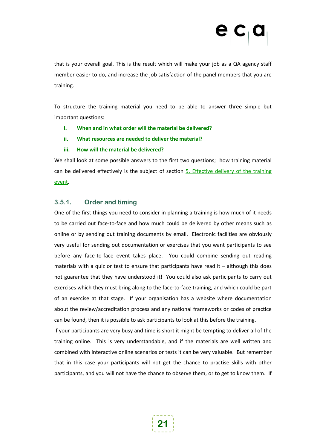that is your overall goal. This is the result which will make your job as a QA agency staff member easier to do, and increase the job satisfaction of the panel members that you are training.

To structure the training material you need to be able to answer three simple but important questions:

- **i. When and in what order will the material be delivered?**
- **ii. What resources are needed to deliver the material?**
- **iii. How will the material be delivered?**

We shall look at some possible answers to the first two questions; how training material can be delivered effectively is the subject of section 5. Effective delivery of the training [event](#page-32-0).

### <span id="page-20-0"></span>**3.5.1. Order and timing**

One of the first things you need to consider in planning a training is how much of it needs to be carried out face-to-face and how much could be delivered by other means such as online or by sending out training documents by email. Electronic facilities are obviously very useful for sending out documentation or exercises that you want participants to see before any face-to-face event takes place. You could combine sending out reading materials with a quiz or test to ensure that participants have read it – although this does not guarantee that they have understood it! You could also ask participants to carry out exercises which they must bring along to the face-to-face training, and which could be part of an exercise at that stage. If your organisation has a website where documentation about the review/accreditation process and any national frameworks or codes of practice can be found, then it is possible to ask participants to look at this before the training.

If your participants are very busy and time is short it might be tempting to deliver all of the training online. This is very understandable, and if the materials are well written and combined with interactive online scenarios or tests it can be very valuable. But remember that in this case your participants will not get the chance to practise skills with other participants, and you will not have the chance to observe them, or to get to know them. If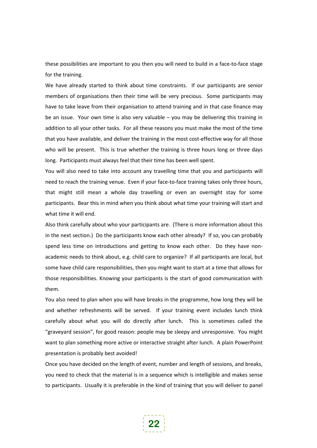these possibilities are important to you then you will need to build in a face-to-face stage for the training.

We have already started to think about time constraints. If our participants are senior members of organisations then their time will be very precious. Some participants may have to take leave from their organisation to attend training and in that case finance may be an issue. Your own time is also very valuable – you may be delivering this training in addition to all your other tasks. For all these reasons you must make the most of the time that you have available, and deliver the training in the most cost-effective way for all those who will be present. This is true whether the training is three hours long or three days long. Participants must always feel that their time has been well spent.

You will also need to take into account any travelling time that you and participants will need to reach the training venue. Even if your face-to-face training takes only three hours, that might still mean a whole day travelling or even an overnight stay for some participants. Bear this in mind when you think about what time your training will start and what time it will end.

Also think carefully about who your participants are. (There is more information about this in the next section.) Do the participants know each other already? If so, you can probably spend less time on introductions and getting to know each other. Do they have nonacademic needs to think about, e.g. child care to organize? If all participants are local, but some have child care responsibilities, then you might want to start at a time that allows for those responsibilities. Knowing your participants is the start of good communication with them.

You also need to plan when you will have breaks in the programme, how long they will be and whether refreshments will be served. If your training event includes lunch think carefully about what you will do directly after lunch. This is sometimes called the "graveyard session", for good reason: people may be sleepy and unresponsive. You might want to plan something more active or interactive straight after lunch. A plain PowerPoint presentation is probably best avoided!

Once you have decided on the length of event, number and length of sessions, and breaks, you need to check that the material is in a sequence which is intelligible and makes sense to participants. Usually it is preferable in the kind of training that you will deliver to panel

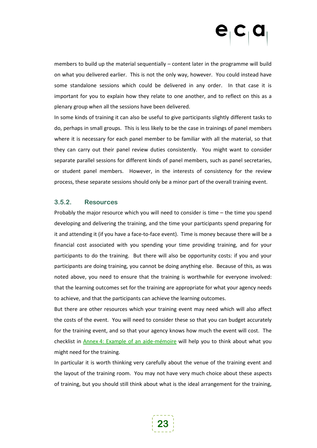members to build up the material sequentially – content later in the programme will build on what you delivered earlier. This is not the only way, however. You could instead have some standalone sessions which could be delivered in any order. In that case it is important for you to explain how they relate to one another, and to reflect on this as a plenary group when all the sessions have been delivered.

In some kinds of training it can also be useful to give participants slightly different tasks to do, perhaps in small groups. This is less likely to be the case in trainings of panel members where it is necessary for each panel member to be familiar with all the material, so that they can carry out their panel review duties consistently. You might want to consider separate parallel sessions for different kinds of panel members, such as panel secretaries, or student panel members. However, in the interests of consistency for the review process, these separate sessions should only be a minor part of the overall training event.

#### <span id="page-22-0"></span>**3.5.2. Resources**

Probably the major resource which you will need to consider is time – the time you spend developing and delivering the training, and the time your participants spend preparing for it and attending it (if you have a face-to-face event). Time is money because there will be a financial cost associated with you spending your time providing training, and for your participants to do the training. But there will also be opportunity costs: if you and your participants are doing training, you cannot be doing anything else. Because of this, as was noted above, you need to ensure that the training is worthwhile for everyone involved: that the learning outcomes set for the training are appropriate for what your agency needs to achieve, and that the participants can achieve the learning outcomes.

But there are other resources which your training event may need which will also affect the costs of the event. You will need to consider these so that you can budget accurately for the training event, and so that your agency knows how much the event will cost. The checklist in Annex [4: Example of an aide-mémoire](#page-66-0) will help you to think about what you might need for the training.

In particular it is worth thinking very carefully about the venue of the training event and the layout of the training room. You may not have very much choice about these aspects of training, but you should still think about what is the ideal arrangement for the training,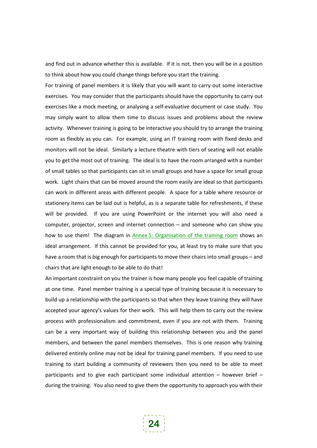and find out in advance whether this is available. If it is not, then you will be in a position to think about how you could change things before you start the training.

For training of panel members it is likely that you will want to carry out some interactive exercises. You may consider that the participants should have the opportunity to carry out exercises like a mock meeting, or analysing a self-evaluative document or case study. You may simply want to allow them time to discuss issues and problems about the review activity. Whenever training is going to be interactive you should try to arrange the training room as flexibly as you can. For example, using an IT training room with fixed desks and monitors will not be ideal. Similarly a lecture theatre with tiers of seating will not enable you to get the most out of training. The ideal is to have the room arranged with a number of small tables so that participants can sit in small groups and have a space for small group work. Light chairs that can be moved around the room easily are ideal so that participants can work in different areas with different people. A space for a table where resource or stationery items can be laid out is helpful, as is a separate table for refreshments, if these will be provided. If you are using PowerPoint or the internet you will also need a computer, projector, screen and internet connection – and someone who can show you how to use them! The diagram in Annex [5: Organisation of the training room](#page-68-0) shows an ideal arrangement. If this cannot be provided for you, at least try to make sure that you have a room that is big enough for participants to move their chairs into small groups – and chairs that are light enough to be able to do that!

An important constraint on you the trainer is how many people you feel capable of training at one time. Panel member training is a special type of training because it is necessary to build up a relationship with the participants so that when they leave training they will have accepted your agency's values for their work. This will help them to carry out the review process with professionalism and commitment, even if you are not with them. Training can be a very important way of building this relationship between you and the panel members, and between the panel members themselves. This is one reason why training delivered entirely online may not be ideal for training panel members. If you need to use training to start building a community of reviewers then you need to be able to meet participants and to give each participant some individual attention  $-$  however brief  $$ during the training. You also need to give them the opportunity to approach you with their

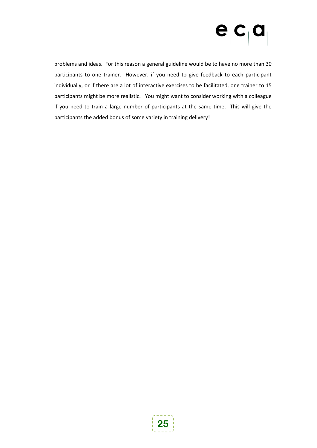# $\mathbf{e}_{\mathsf{I}} \mathbf{c}_{\mathsf{I}} \mathbf{a}$

problems and ideas. For this reason a general guideline would be to have no more than 30 participants to one trainer. However, if you need to give feedback to each participant individually, or if there are a lot of interactive exercises to be facilitated, one trainer to 15 participants might be more realistic. You might want to consider working with a colleague if you need to train a large number of participants at the same time. This will give the participants the added bonus of some variety in training delivery!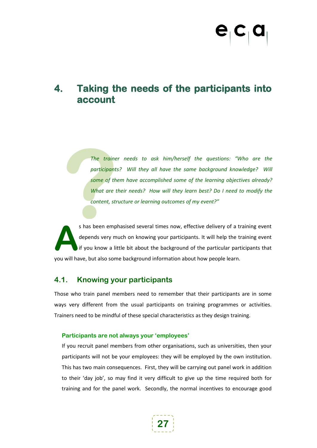## <span id="page-26-0"></span>**4. Taking the needs of the participants into account**

The traine<br>participant:<br>some of the<br>What are t<br>content, str<br>s has been emp *The trainer needs to ask him/herself the questions: "Who are the*  participants? Will they all have the same background knowledge? Will *some of them have accomplished some of the learning objectives already? What are their needs? How will they learn best? Do I need to modify the content, structure or learning outcomes of my event?"*

s has been emphasised several times now, effective delivery of a training event depends very much on knowing your participants. It will help the training event if you know a little bit about the background of the particular participants that you will have, but also some background information about how people learn. **A**

### <span id="page-26-1"></span>**4.1. Knowing your participants**

Those who train panel members need to remember that their participants are in some ways very different from the usual participants on training programmes or activities. Trainers need to be mindful of these special characteristics as they design training.

#### **Participants are not always your 'employees'**

If you recruit panel members from other organisations, such as universities, then your participants will not be your employees: they will be employed by the own institution. This has two main consequences. First, they will be carrying out panel work in addition to their 'day job', so may find it very difficult to give up the time required both for training and for the panel work. Secondly, the normal incentives to encourage good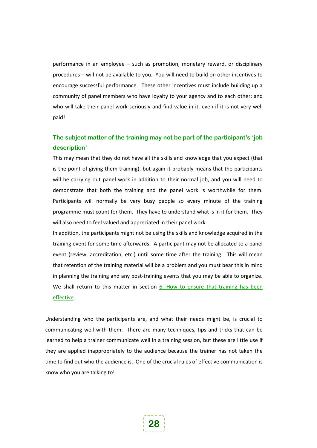performance in an employee – such as promotion, monetary reward, or disciplinary procedures – will not be available to you. You will need to build on other incentives to encourage successful performance. These other incentives must include building up a community of panel members who have loyalty to your agency and to each other; and who will take their panel work seriously and find value in it, even if it is not very well paid!

### **The subject matter of the training may not be part of the participant's 'job description'**

This may mean that they do not have all the skills and knowledge that you expect (that is the point of giving them training), but again it probably means that the participants will be carrying out panel work in addition to their normal job, and you will need to demonstrate that both the training and the panel work is worthwhile for them. Participants will normally be very busy people so every minute of the training programme must count for them. They have to understand what is in it for them. They will also need to feel valued and appreciated in their panel work.

In addition, the participants might not be using the skills and knowledge acquired in the training event for some time afterwards. A participant may not be allocated to a panel event (review, accreditation, etc.) until some time after the training. This will mean that retention of the training material will be a problem and you must bear this in mind in planning the training and any post-training events that you may be able to organize. We shall return to this matter in section [6.](#page-48-0) How to ensure that training has been [effective.](#page-48-0)

Understanding who the participants are, and what their needs might be, is crucial to communicating well with them. There are many techniques, tips and tricks that can be learned to help a trainer communicate well in a training session, but these are little use if they are applied inappropriately to the audience because the trainer has not taken the time to find out who the audience is. One of the crucial rules of effective communication is know who you are talking to!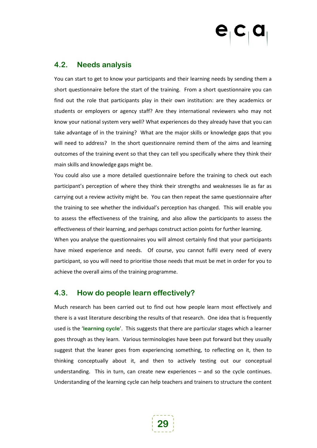### <span id="page-28-0"></span>**4.2. Needs analysis**

You can start to get to know your participants and their learning needs by sending them a short questionnaire before the start of the training. From a short questionnaire you can find out the role that participants play in their own institution: are they academics or students or employers or agency staff? Are they international reviewers who may not know your national system very well? What experiences do they already have that you can take advantage of in the training? What are the major skills or knowledge gaps that you will need to address? In the short questionnaire remind them of the aims and learning outcomes of the training event so that they can tell you specifically where they think their main skills and knowledge gaps might be.

You could also use a more detailed questionnaire before the training to check out each participant's perception of where they think their strengths and weaknesses lie as far as carrying out a review activity might be. You can then repeat the same questionnaire after the training to see whether the individual's perception has changed. This will enable you to assess the effectiveness of the training, and also allow the participants to assess the effectiveness of their learning, and perhaps construct action points for further learning.

When you analyse the questionnaires you will almost certainly find that your participants have mixed experience and needs. Of course, you cannot fulfil every need of every participant, so you will need to prioritise those needs that must be met in order for you to achieve the overall aims of the training programme.

### <span id="page-28-1"></span>**4.3. How do people learn effectively?**

Much research has been carried out to find out how people learn most effectively and there is a vast literature describing the results of that research. One idea that is frequently used is the '**learning cycle**'. This suggests that there are particular stages which a learner goes through as they learn. Various terminologies have been put forward but they usually suggest that the leaner goes from experiencing something, to reflecting on it, then to thinking conceptually about it, and then to actively testing out our conceptual understanding. This in turn, can create new experiences – and so the cycle continues. Understanding of the learning cycle can help teachers and trainers to structure the content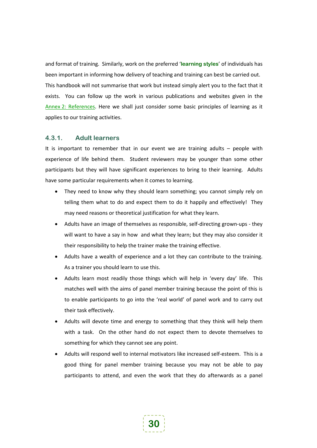and format of training. Similarly, work on the preferred '**learning styles** ' of individuals has This handbook will not summarise that work but instead simply alert you to the fact that it exists. You can follow up the work in various publications and websites given in the been important in informing how delivery of teaching and training can best be carried out. Annex [2: References.](#page-62-0) Here we shall just consider some basic principles of learning as it applies to our training activities.

#### <span id="page-29-0"></span>**4.3.1. Adult learners**

It is important to remember that in our event we are training adults – people with experience of life behind them. Student reviewers may be younger than some other participants but they will have significant experiences to bring to their learning. Adults have some particular requirements when it comes to learning.

- They need to know why they should learn something; you cannot simply rely on telling them what to do and expect them to do it happily and effectively! They may need reasons or theoretical justification for what they learn.
- Adults have an image of themselves as responsible, self-directing grown-ups they will want to have a say in how and what they learn; but they may also consider it their responsibility to help the trainer make the training effective.
- Adults have a wealth of experience and a lot they can contribute to the training. As a trainer you should learn to use this.
- Adults learn most readily those things which will help in 'every day' life. This matches well with the aims of panel member training because the point of this is to enable participants to go into the 'real world' of panel work and to carry out their task effectively.
- Adults will devote time and energy to something that they think will help them with a task. On the other hand do not expect them to devote themselves to something for which they cannot see any point.
- Adults will respond well to internal motivators like increased self-esteem. This is a good thing for panel member training because you may not be able to pay participants to attend, and even the work that they do afterwards as a panel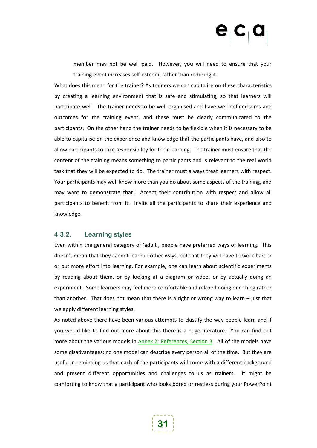member may not be well paid. However, you will need to ensure that your training event increases self-esteem, rather than reducing it!

What does this mean for the trainer? As trainers we can capitalise on these characteristics by creating a learning environment that is safe and stimulating, so that learners will participate well. The trainer needs to be well organised and have well-defined aims and outcomes for the training event, and these must be clearly communicated to the participants. On the other hand the trainer needs to be flexible when it is necessary to be able to capitalise on the experience and knowledge that the participants have, and also to allow participants to take responsibility for their learning. The trainer must ensure that the content of the training means something to participants and is relevant to the real world task that they will be expected to do. The trainer must always treat learners with respect. Your participants may well know more than you do about some aspects of the training, and may want to demonstrate that! Accept their contribution with respect and allow all participants to benefit from it. Invite all the participants to share their experience and knowledge.

#### <span id="page-30-0"></span>**4.3.2. Learning styles**

Even within the general category of 'adult', people have preferred ways of learning. This doesn't mean that they cannot learn in other ways, but that they will have to work harder or put more effort into learning. For example, one can learn about scientific experiments by reading about them, or by looking at a diagram or video, or by actually doing an experiment. Some learners may feel more comfortable and relaxed doing one thing rather than another. That does not mean that there is a right or wrong way to learn  $-$  just that we apply different learning styles.

As noted above there have been various attempts to classify the way people learn and if you would like to find out more about this there is a huge literature. You can find out more about the various models in Annex [2: References, Section 3.](#page-62-1) All of the models have some disadvantages: no one model can describe every person all of the time. But they are useful in reminding us that each of the participants will come with a different background and present different opportunities and challenges to us as trainers. It might be comforting to know that a participant who looks bored or restless during your PowerPoint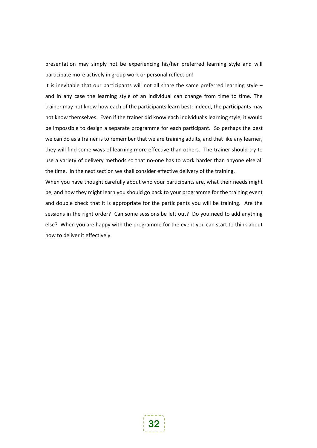presentation may simply not be experiencing his/her preferred learning style and will participate more actively in group work or personal reflection!

It is inevitable that our participants will not all share the same preferred learning style  $$ and in any case the learning style of an individual can change from time to time. The trainer may not know how each of the participants learn best: indeed, the participants may not know themselves. Even if the trainer did know each individual's learning style, it would be impossible to design a separate programme for each participant. So perhaps the best we can do as a trainer is to remember that we are training adults, and that like any learner, they will find some ways of learning more effective than others. The trainer should try to use a variety of delivery methods so that no-one has to work harder than anyone else all the time. In the next section we shall consider effective delivery of the training.

When you have thought carefully about who your participants are, what their needs might be, and how they might learn you should go back to your programme for the training event and double check that it is appropriate for the participants you will be training. Are the sessions in the right order? Can some sessions be left out? Do you need to add anything else? When you are happy with the programme for the event you can start to think about how to deliver it effectively.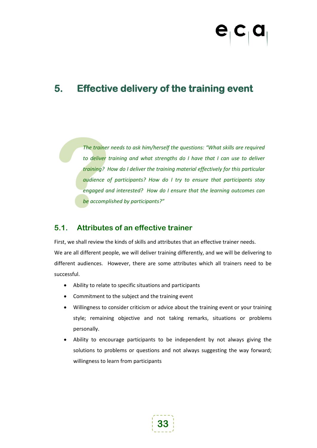# <span id="page-32-0"></span>**5. Effective delivery of the training event**

The trainer<br>to deliver t<br>training? H<br>audience of<br>engaged an<br>be accompl *The trainer needs to ask him/herself the questions: "What skills are required to deliver training and what strengths do I have that I can use to deliver training? How do I deliver the training material effectively for this particular audience of participants? How do I try to ensure that participants stay engaged and interested? How do I ensure that the learning outcomes can be accomplished by participants?"*

### <span id="page-32-1"></span>**5.1. Attributes of an effective trainer**

First, we shall review the kinds of skills and attributes that an effective trainer needs. We are all different people, we will deliver training differently, and we will be delivering to different audiences. However, there are some attributes which all trainers need to be successful.

- Ability to relate to specific situations and participants
- Commitment to the subject and the training event
- Willingness to consider criticism or advice about the training event or your training style; remaining objective and not taking remarks, situations or problems personally.
- Ability to encourage participants to be independent by not always giving the solutions to problems or questions and not always suggesting the way forward; willingness to learn from participants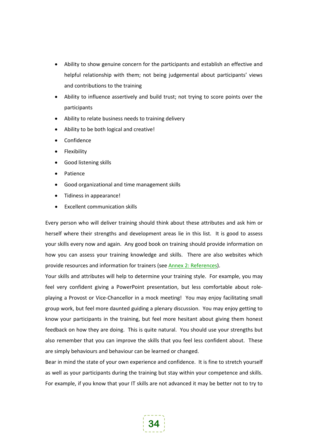- Ability to show genuine concern for the participants and establish an effective and helpful relationship with them; not being judgemental about participants' views and contributions to the training
- Ability to influence assertively and build trust; not trying to score points over the participants
- Ability to relate business needs to training delivery
- Ability to be both logical and creative!
- Confidence
- Flexibility
- Good listening skills
- **Patience**
- Good organizational and time management skills
- Tidiness in appearance!
- Excellent communication skills

Every person who will deliver training should think about these attributes and ask him or herself where their strengths and development areas lie in this list. It is good to assess your skills every now and again. Any good book on training should provide information on how you can assess your training knowledge and skills. There are also websites which provide resources and information for trainers (see Annex [2: References\)](#page-62-0).

Your skills and attributes will help to determine your training style. For example, you may feel very confident giving a PowerPoint presentation, but less comfortable about roleplaying a Provost or Vice-Chancellor in a mock meeting! You may enjoy facilitating small group work, but feel more daunted guiding a plenary discussion. You may enjoy getting to know your participants in the training, but feel more hesitant about giving them honest feedback on how they are doing. This is quite natural. You should use your strengths but also remember that you can improve the skills that you feel less confident about. These are simply behaviours and behaviour can be learned or changed.

Bear in mind the state of your own experience and confidence. It is fine to stretch yourself as well as your participants during the training but stay within your competence and skills. For example, if you know that your IT skills are not advanced it may be better not to try to

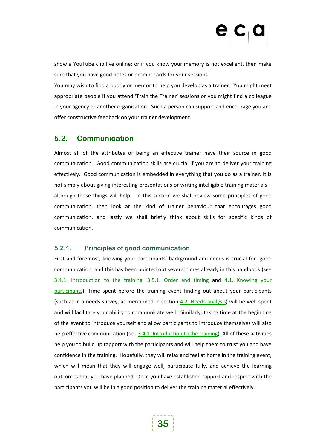show a YouTube clip live online; or if you know your memory is not excellent, then make sure that you have good notes or prompt cards for your sessions.

You may wish to find a buddy or mentor to help you develop as a trainer. You might meet appropriate people if you attend 'Train the Trainer' sessions or you might find a colleague in your agency or another organisation. Such a person can support and encourage you and offer constructive feedback on your trainer development.

### <span id="page-34-0"></span>**5.2. Communication**

Almost all of the attributes of being an effective trainer have their source in good communication. Good communication skills are crucial if you are to deliver your training effectively. Good communication is embedded in everything that you do as a trainer. It is not simply about giving interesting presentations or writing intelligible training materials – although those things will help! In this section we shall review some principles of good communication, then look at the kind of trainer behaviour that encourages good communication, and lastly we shall briefly think about skills for specific kinds of communication.

### <span id="page-34-1"></span>**5.2.1. Principles of good communication**

First and foremost, knowing your participants' background and needs is crucial for good communication, and this has been pointed out several times already in this handbook (see [3.4.1.](#page-16-1) [Introduction to the training,](#page-16-1) [3.5.1.](#page-20-0) [Order and timing](#page-20-0) and [4.1.](#page-26-1) [Knowing your](#page-26-1)  [participants\)](#page-26-1). Time spent before the training event finding out about your participants (such as in a needs survey, as mentioned in section [4.2.](#page-28-0) [Needs analysis\)](#page-28-0) will be well spent and will facilitate your ability to communicate well. Similarly, taking time at the beginning of the event to introduce yourself and allow participants to introduce themselves will also help effective communication (see [3.4.1.](#page-16-1) [Introduction to the training\)](#page-16-1). All of these activities help you to build up rapport with the participants and will help them to trust you and have confidence in the training. Hopefully, they will relax and feel at home in the training event, which will mean that they will engage well, participate fully, and achieve the learning outcomes that you have planned. Once you have established rapport and respect with the participants you will be in a good position to deliver the training material effectively.

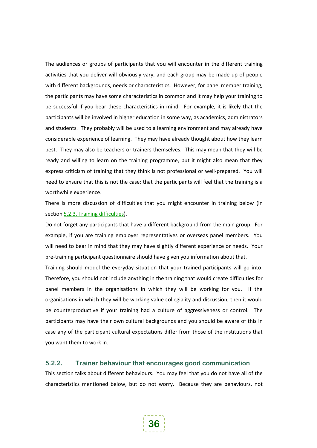The audiences or groups of participants that you will encounter in the different training activities that you deliver will obviously vary, and each group may be made up of people with different backgrounds, needs or characteristics. However, for panel member training, the participants may have some characteristics in common and it may help your training to be successful if you bear these characteristics in mind. For example, it is likely that the participants will be involved in higher education in some way, as academics, administrators and students. They probably will be used to a learning environment and may already have considerable experience of learning. They may have already thought about how they learn best. They may also be teachers or trainers themselves. This may mean that they will be ready and willing to learn on the training programme, but it might also mean that they express criticism of training that they think is not professional or well-prepared. You will need to ensure that this is not the case: that the participants will feel that the training is a worthwhile experience.

There is more discussion of difficulties that you might encounter in training below (in section [5.2.3.](#page-40-0) [Training difficulties](#page-40-0)).

Do not forget any participants that have a different background from the main group. For example, if you are training employer representatives or overseas panel members. You will need to bear in mind that they may have slightly different experience or needs. Your pre-training participant questionnaire should have given you information about that.

Training should model the everyday situation that your trained participants will go into. Therefore, you should not include anything in the training that would create difficulties for panel members in the organisations in which they will be working for you. If the organisations in which they will be working value collegiality and discussion, then it would be counterproductive if your training had a culture of aggressiveness or control. The participants may have their own cultural backgrounds and you should be aware of this in case any of the participant cultural expectations differ from those of the institutions that you want them to work in.

#### <span id="page-35-0"></span>**5.2.2. Trainer behaviour that encourages good communication**

This section talks about different behaviours. You may feel that you do not have all of the characteristics mentioned below, but do not worry. Because they are behaviours, not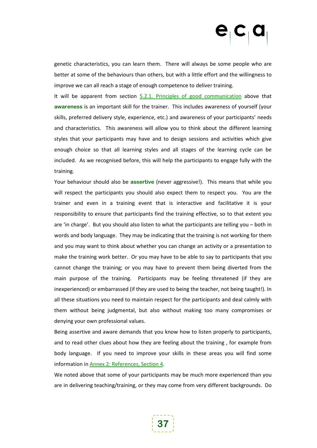genetic characteristics, you can learn them. There will always be some people who are better at some of the behaviours than others, but with a little effort and the willingness to improve we can all reach a stage of enough competence to deliver training.

It will be apparent from section [5.2.1.](#page-34-0) [Principles of good communication](#page-34-0) above that **awareness** is an important skill for the trainer. This includes awareness of yourself (your skills, preferred delivery style, experience, etc.) and awareness of your participants' needs and characteristics. This awareness will allow you to think about the different learning styles that your participants may have and to design sessions and activities which give enough choice so that all learning styles and all stages of the learning cycle can be included. As we recognised before, this will help the participants to engage fully with the training.

Your behaviour should also be assertive (never aggressive!). This means that while you will respect the participants you should also expect them to respect you. You are the trainer and even in a training event that is interactive and facilitative it is your responsibility to ensure that participants find the training effective, so to that extent you are 'in charge'. But you should also listen to what the participants are telling you – both in words and body language. They may be indicating that the training is not working for them and you may want to think about whether you can change an activity or a presentation to make the training work better. Or you may have to be able to say to participants that you cannot change the training; or you may have to prevent them being diverted from the main purpose of the training. Participants may be feeling threatened (if they are inexperienced) or embarrassed (if they are used to being the teacher, not being taught!). In all these situations you need to maintain respect for the participants and deal calmly with them without being judgmental, but also without making too many compromises or denying your own professional values.

Being assertive and aware demands that you know how to listen properly to participants, and to read other clues about how they are feeling about the training , for example from body language. If you need to improve your skills in these areas you will find some information in Annex [2: References, Section 4.](#page-63-0)

We noted above that some of your participants may be much more experienced than you are in delivering teaching/training, or they may come from very different backgrounds. Do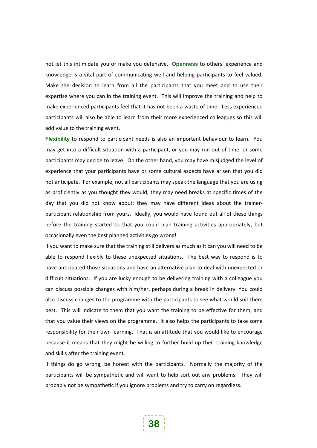not let this intimidate you or make you defensive. **Openness** to others' experience and knowledge is a vital part of communicating well and helping participants to feel valued. Make the decision to learn from all the participants that you meet and to use their expertise where you can in the training event. This will improve the training and help to make experienced participants feel that it has not been a waste of time. Less experienced participants will also be able to learn from their more experienced colleagues so this will add value to the training event.

Flexibility to respond to participant needs is also an important behaviour to learn. You may get into a difficult situation with a participant, or you may run out of time, or some participants may decide to leave. On the other hand, you may have misjudged the level of experience that your participants have or some cultural aspects have arisen that you did not anticipate. For example, not all participants may speak the language that you are using as proficiently as you thought they would; they may need breaks at specific times of the day that you did not know about; they may have different ideas about the trainerparticipant relationship from yours. Ideally, you would have found out all of these things before the training started so that you could plan training activities appropriately, but occasionally even the best planned activities go wrong!

If you want to make sure that the training still delivers as much as it can you will need to be able to respond flexibly to these unexpected situations. The best way to respond is to have anticipated those situations and have an alternative plan to deal with unexpected or difficult situations. If you are lucky enough to be delivering training with a colleague you can discuss possible changes with him/her, perhaps during a break in delivery. You could also discuss changes to the programme with the participants to see what would suit them best. This will indicate to them that you want the training to be effective for them, and that you value their views on the programme. It also helps the participants to take some responsibility for their own learning. That is an attitude that you would like to encourage because it means that they might be willing to further build up their training knowledge and skills after the training event.

If things do go wrong, be honest with the participants. Normally the majority of the participants will be sympathetic and will want to help sort out any problems. They will probably not be sympathetic if you ignore problems and try to carry on regardless.

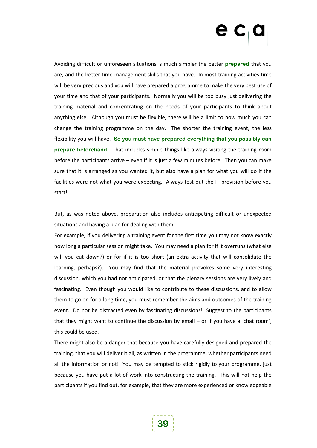Avoiding difficult or unforeseen situations is much simpler the better **prepared** that you are, and the better time-management skills that you have. In most training activities time will be very precious and you will have prepared a programme to make the very best use of your time and that of your participants. Normally you will be too busy just delivering the training material and concentrating on the needs of your participants to think about anything else. Although you must be flexible, there will be a limit to how much you can change the training programme on the day. The shorter the training event, the less flexibility you will have. **So you must have prepared everything that you possibly can prepare beforehand**. That includes simple things like always visiting the training room before the participants arrive – even if it is just a few minutes before. Then you can make sure that it is arranged as you wanted it, but also have a plan for what you will do if the facilities were not what you were expecting. Always test out the IT provision before you start!

But, as was noted above, preparation also includes anticipating difficult or unexpected situations and having a plan for dealing with them.

For example, if you delivering a training event for the first time you may not know exactly how long a particular session might take. You may need a plan for if it overruns (what else will you cut down?) or for if it is too short (an extra activity that will consolidate the learning, perhaps?). You may find that the material provokes some very interesting discussion, which you had not anticipated, or that the plenary sessions are very lively and fascinating. Even though you would like to contribute to these discussions, and to allow them to go on for a long time, you must remember the aims and outcomes of the training event. Do not be distracted even by fascinating discussions! Suggest to the participants that they might want to continue the discussion by email – or if you have a 'chat room', this could be used.

There might also be a danger that because you have carefully designed and prepared the training, that you will deliver it all, as written in the programme, whether participants need all the information or not! You may be tempted to stick rigidly to your programme, just because you have put a lot of work into constructing the training. This will not help the participants if you find out, for example, that they are more experienced or knowledgeable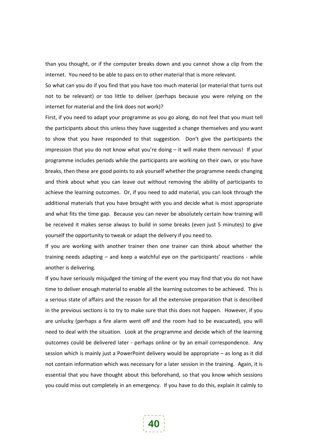than you thought, or if the computer breaks down and you cannot show a clip from the internet. You need to be able to pass on to other material that is more relevant.

So what can you do if you find that you have too much material (or material that turns out not to be relevant) or too little to deliver (perhaps because you were relying on the internet for material and the link does not work)?

First, if you need to adapt your programme as you go along, do not feel that you must tell the participants about this unless they have suggested a change themselves and you want to show that you have responded to that suggestion. Don't give the participants the impression that you do not know what you're doing – it will make them nervous! If your programme includes periods while the participants are working on their own, or you have breaks, then these are good points to ask yourself whether the programme needs changing and think about what you can leave out without removing the ability of participants to achieve the learning outcomes. Or, if you need to add material, you can look through the additional materials that you have brought with you and decide what is most appropriate and what fits the time gap. Because you can never be absolutely certain how training will be received it makes sense always to build in some breaks (even just 5 minutes) to give yourself the opportunity to tweak or adapt the delivery if you need to.

If you are working with another trainer then one trainer can think about whether the training needs adapting – and keep a watchful eye on the participants' reactions - while another is delivering.

If you have seriously misjudged the timing of the event you may find that you do not have time to deliver enough material to enable all the learning outcomes to be achieved. This is a serious state of affairs and the reason for all the extensive preparation that is described in the previous sections is to try to make sure that this does not happen. However, if you are unlucky (perhaps a fire alarm went off and the room had to be evacuated), you will need to deal with the situation. Look at the programme and decide which of the learning outcomes could be delivered later - perhaps online or by an email correspondence. Any session which is mainly just a PowerPoint delivery would be appropriate – as long as it did not contain information which was necessary for a later session in the training. Again, it is essential that you have thought about this beforehand, so that you know which sessions you could miss out completely in an emergency. If you have to do this, explain it calmly to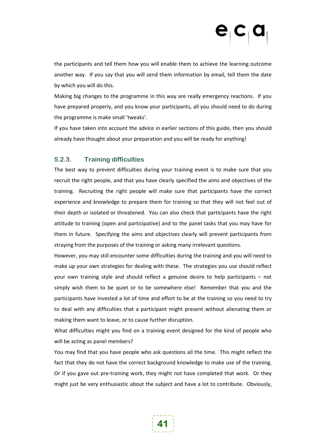the participants and tell them how you will enable them to achieve the learning outcome another way. If you say that you will send them information by email, tell them the date by which you will do this.

Making big changes to the programme in this way are really emergency reactions. If you have prepared properly, and you know your participants, all you should need to do during the programme is make small 'tweaks'.

If you have taken into account the advice in earlier sections of this guide, then you should already have thought about your preparation and you will be ready for anything!

### **5.2.3. Training difficulties**

The best way to prevent difficulties during your training event is to make sure that you recruit the right people, and that you have clearly specified the aims and objectives of the training. Recruiting the right people will make sure that participants have the correct experience and knowledge to prepare them for training so that they will not feel out of their depth or isolated or threatened. You can also check that participants have the right attitude to training (open and participative) and to the panel tasks that you may have for them in future. Specifying the aims and objectives clearly will prevent participants from straying from the purposes of the training or asking many irrelevant questions.

However, you may still encounter some difficulties during the training and you will need to make up your own strategies for dealing with these. The strategies you use should reflect your own training style and should reflect a genuine desire to help participants – not simply wish them to be quiet or to be somewhere else! Remember that you and the participants have invested a lot of time and effort to be at the training so you need to try to deal with any difficulties that a participant might present without alienating them or making them want to leave, or to cause further disruption.

What difficulties might you find on a training event designed for the kind of people who will be acting as panel members?

You may find that you have people who ask questions all the time. This might reflect the fact that they do not have the correct background knowledge to make use of the training. Or if you gave out pre-training work, they might not have completed that work. Or they might just be very enthusiastic about the subject and have a lot to contribute. Obviously,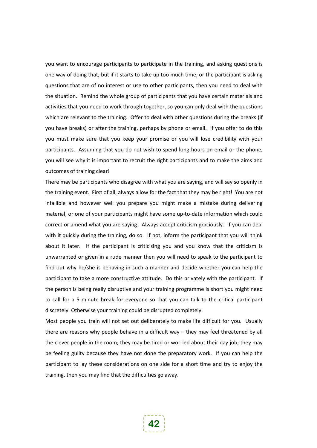you want to encourage participants to participate in the training, and asking questions is one way of doing that, but if it starts to take up too much time, or the participant is asking questions that are of no interest or use to other participants, then you need to deal with the situation. Remind the whole group of participants that you have certain materials and activities that you need to work through together, so you can only deal with the questions which are relevant to the training. Offer to deal with other questions during the breaks (if you have breaks) or after the training, perhaps by phone or email. If you offer to do this you must make sure that you keep your promise or you will lose credibility with your participants. Assuming that you do not wish to spend long hours on email or the phone, you will see why it is important to recruit the right participants and to make the aims and outcomes of training clear!

There may be participants who disagree with what you are saying, and will say so openly in the training event. First of all, always allow for the fact that they may be right! You are not infallible and however well you prepare you might make a mistake during delivering material, or one of your participants might have some up-to-date information which could correct or amend what you are saying. Always accept criticism graciously. If you can deal with it quickly during the training, do so. If not, inform the participant that you will think about it later. If the participant is criticising you and you know that the criticism is unwarranted or given in a rude manner then you will need to speak to the participant to find out why he/she is behaving in such a manner and decide whether you can help the participant to take a more constructive attitude. Do this privately with the participant. If the person is being really disruptive and your training programme is short you might need to call for a 5 minute break for everyone so that you can talk to the critical participant discretely. Otherwise your training could be disrupted completely.

Most people you train will not set out deliberately to make life difficult for you. Usually there are reasons why people behave in a difficult way – they may feel threatened by all the clever people in the room; they may be tired or worried about their day job; they may be feeling guilty because they have not done the preparatory work. If you can help the participant to lay these considerations on one side for a short time and try to enjoy the training, then you may find that the difficulties go away.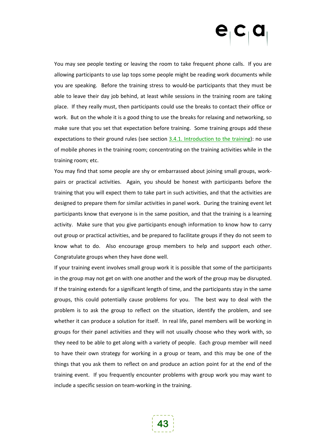You may see people texting or leaving the room to take frequent phone calls. If you are allowing participants to use lap tops some people might be reading work documents while you are speaking. Before the training stress to would-be participants that they must be able to leave their day job behind, at least while sessions in the training room are taking place. If they really must, then participants could use the breaks to contact their office or work. But on the whole it is a good thing to use the breaks for relaxing and networking, so make sure that you set that expectation before training. Some training groups add these expectations to their ground rules (see section [3.4.1.](#page-16-0) [Introduction to the training](#page-16-0)): no use of mobile phones in the training room; concentrating on the training activities while in the training room; etc.

You may find that some people are shy or embarrassed about joining small groups, workpairs or practical activities. Again, you should be honest with participants before the training that you will expect them to take part in such activities, and that the activities are designed to prepare them for similar activities in panel work. During the training event let participants know that everyone is in the same position, and that the training is a learning activity. Make sure that you give participants enough information to know how to carry out group or practical activities, and be prepared to facilitate groups if they do not seem to know what to do. Also encourage group members to help and support each other. Congratulate groups when they have done well.

If your training event involves small group work it is possible that some of the participants in the group may not get on with one another and the work of the group may be disrupted. If the training extends for a significant length of time, and the participants stay in the same groups, this could potentially cause problems for you. The best way to deal with the problem is to ask the group to reflect on the situation, identify the problem, and see whether it can produce a solution for itself. In real life, panel members will be working in groups for their panel activities and they will not usually choose who they work with, so they need to be able to get along with a variety of people. Each group member will need to have their own strategy for working in a group or team, and this may be one of the things that you ask them to reflect on and produce an action point for at the end of the training event. If you frequently encounter problems with group work you may want to include a specific session on team-working in the training.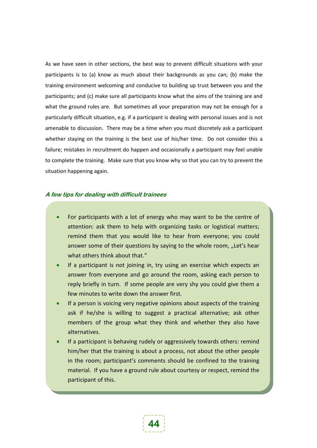As we have seen in other sections, the best way to prevent difficult situations with your participants is to (a) know as much about their backgrounds as you can; (b) make the training environment welcoming and conducive to building up trust between you and the participants; and (c) make sure all participants know what the aims of the training are and what the ground rules are. But sometimes all your preparation may not be enough for a particularly difficult situation, e.g. if a participant is dealing with personal issues and is not amenable to discussion. There may be a time when you must discretely ask a participant whether staying on the training is the best use of his/her time. Do not consider this a failure; mistakes in recruitment do happen and occasionally a participant may feel unable to complete the training. Make sure that you know why so that you can try to prevent the situation happening again.

### **A few tips for dealing with difficult trainees**

- For participants with a lot of energy who may want to be the centre of attention: ask them to help with organizing tasks or logistical matters; remind them that you would like to hear from everyone; you could answer some of their questions by saying to the whole room, "Let's hear what others think about that."
- If a participant is not joining in, try using an exercise which expects an answer from everyone and go around the room, asking each person to reply briefly in turn. If some people are very shy you could give them a few minutes to write down the answer first.
- If a person is voicing very negative opinions about aspects of the training ask if he/she is willing to suggest a practical alternative; ask other members of the group what they think and whether they also have alternatives.
- If a participant is behaving rudely or aggressively towards others: remind him/her that the training is about a process, not about the other people in the room; participant's comments should be confined to the training material. If you have a ground rule about courtesy or respect, remind the participant of this.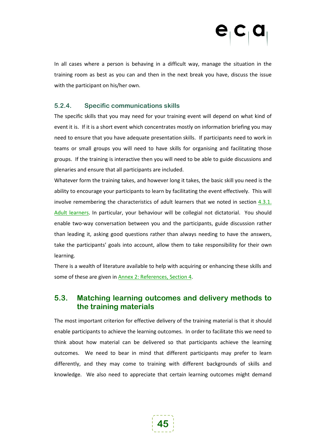In all cases where a person is behaving in a difficult way, manage the situation in the training room as best as you can and then in the next break you have, discuss the issue with the participant on his/her own.

### **5.2.4. Specific communications skills**

The specific skills that you may need for your training event will depend on what kind of event it is. If it is a short event which concentrates mostly on information briefing you may need to ensure that you have adequate presentation skills. If participants need to work in teams or small groups you will need to have skills for organising and facilitating those groups. If the training is interactive then you will need to be able to guide discussions and plenaries and ensure that all participants are included.

Whatever form the training takes, and however long it takes, the basic skill you need is the ability to encourage your participants to learn by facilitating the event effectively. This will involve remembering the characteristics of adult learners that we noted in section [4.3.1.](#page-29-0) [Adult learners](#page-29-0). In particular, your behaviour will be collegial not dictatorial. You should enable two-way conversation between you and the participants, guide discussion rather than leading it, asking good questions rather than always needing to have the answers, take the participants' goals into account, allow them to take responsibility for their own learning.

There is a wealth of literature available to help with acquiring or enhancing these skills and some of these are given in **Annex 2: References**, Section 4.

## **5.3. Matching learning outcomes and delivery methods to the training materials**

The most important criterion for effective delivery of the training material is that it should enable participants to achieve the learning outcomes. In order to facilitate this we need to think about how material can be delivered so that participants achieve the learning outcomes. We need to bear in mind that different participants may prefer to learn differently, and they may come to training with different backgrounds of skills and knowledge. We also need to appreciate that certain learning outcomes might demand

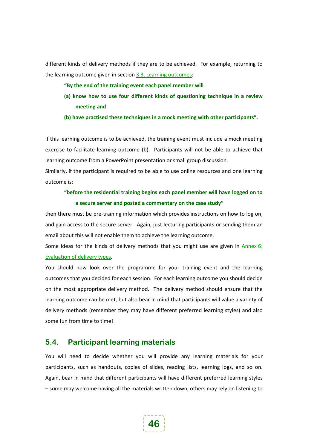different kinds of delivery methods if they are to be achieved. For example, returning to the learning outcome given in sectio[n 3.3.](#page-13-0) [Learning outcomes](#page-13-0):

- **"By the end of the training event each panel member will**
- **(a) know how to use four different kinds of questioning technique in a review meeting and**
- **(b) have practised these techniques in a mock meeting with other participants".**

If this learning outcome is to be achieved, the training event must include a mock meeting exercise to facilitate learning outcome (b). Participants will not be able to achieve that learning outcome from a PowerPoint presentation or small group discussion.

Similarly, if the participant is required to be able to use online resources and one learning outcome is:

## **"before the residential training begins each panel member will have logged on to a secure server and posted a commentary on the case study"**

then there must be pre-training information which provides instructions on how to log on, and gain access to the secure server. Again, just lecturing participants or sending them an email about this will not enable them to achieve the learning outcome.

Some ideas for the kinds of delivery methods that you might use are given in [Annex](#page-70-0) 6: [Evaluation of delivery types.](#page-70-0)

You should now look over the programme for your training event and the learning outcomes that you decided for each session. For each learning outcome you should decide on the most appropriate delivery method. The delivery method should ensure that the learning outcome can be met, but also bear in mind that participants will value a variety of delivery methods (remember they may have different preferred learning styles) and also some fun from time to time!

## **5.4. Participant learning materials**

You will need to decide whether you will provide any learning materials for your participants, such as handouts, copies of slides, reading lists, learning logs, and so on. Again, bear in mind that different participants will have different preferred learning styles – some may welcome having all the materials written down, others may rely on listening to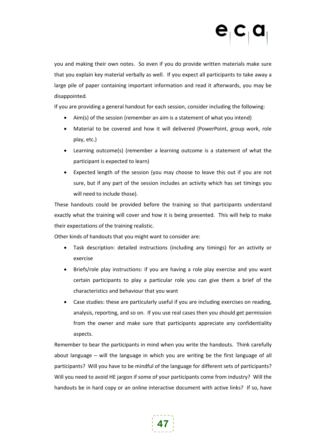you and making their own notes. So even if you do provide written materials make sure that you explain key material verbally as well. If you expect all participants to take away a large pile of paper containing important information and read it afterwards, you may be disappointed.

If you are providing a general handout for each session, consider including the following:

- Aim(s) of the session (remember an aim is a statement of what you intend)
- Material to be covered and how it will delivered (PowerPoint, group work, role play, etc.)
- Learning outcome(s) (remember a learning outcome is a statement of what the participant is expected to learn)
- Expected length of the session (you may choose to leave this out if you are not sure, but if any part of the session includes an activity which has set timings you will need to include those).

These handouts could be provided before the training so that participants understand exactly what the training will cover and how it is being presented. This will help to make their expectations of the training realistic.

Other kinds of handouts that you might want to consider are:

- Task description: detailed instructions (including any timings) for an activity or exercise
- Briefs/role play instructions: if you are having a role play exercise and you want certain participants to play a particular role you can give them a brief of the characteristics and behaviour that you want
- Case studies: these are particularly useful if you are including exercises on reading, analysis, reporting, and so on. If you use real cases then you should get permission from the owner and make sure that participants appreciate any confidentiality aspects.

Remember to bear the participants in mind when you write the handouts. Think carefully about language – will the language in which you are writing be the first language of all participants? Will you have to be mindful of the language for different sets of participants? Will you need to avoid HE jargon if some of your participants come from industry? Will the handouts be in hard copy or an online interactive document with active links? If so, have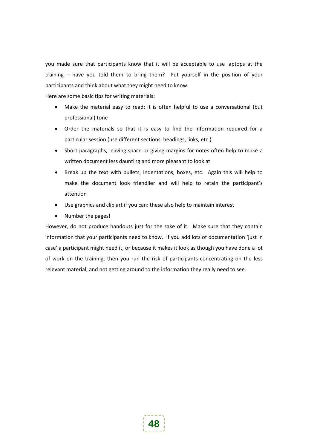you made sure that participants know that it will be acceptable to use laptops at the training – have you told them to bring them? Put yourself in the position of your participants and think about what they might need to know.

Here are some basic tips for writing materials:

- Make the material easy to read; it is often helpful to use a conversational (but professional) tone
- Order the materials so that it is easy to find the information required for a particular session (use different sections, headings, links, etc.)
- Short paragraphs, leaving space or giving margins for notes often help to make a written document less daunting and more pleasant to look at
- Break up the text with bullets, indentations, boxes, etc. Again this will help to make the document look friendlier and will help to retain the participant's attention
- Use graphics and clip art if you can: these also help to maintain interest
- Number the pages!

However, do not produce handouts just for the sake of it. Make sure that they contain information that your participants need to know. If you add lots of documentation 'just in case' a participant might need it, or because it makes it look as though you have done a lot of work on the training, then you run the risk of participants concentrating on the less relevant material, and not getting around to the information they really need to see.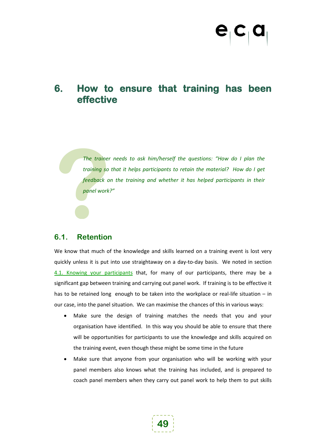## **6. How to ensure that training has been effective**

The trainer<br>training so<br>feedback o<br>panel work<br>**8** *The trainer needs to ask him/herself the questions: "How do I plan the training so that it helps participants to retain the material? How do I get feedback on the training and whether it has helped participants in their panel work?"*

## **6.1. Retention**

We know that much of the knowledge and skills learned on a training event is lost very quickly unless it is put into use straightaway on a day-to-day basis. We noted in section [4.1.](#page-26-0) [Knowing your participants](#page-26-0) that, for many of our participants, there may be a significant gap between training and carrying out panel work. If training is to be effective it has to be retained long enough to be taken into the workplace or real-life situation – in our case, into the panel situation. We can maximise the chances of this in various ways:

- Make sure the design of training matches the needs that you and your organisation have identified. In this way you should be able to ensure that there will be opportunities for participants to use the knowledge and skills acquired on the training event, even though these might be some time in the future
- Make sure that anyone from your organisation who will be working with your panel members also knows what the training has included, and is prepared to coach panel members when they carry out panel work to help them to put skills

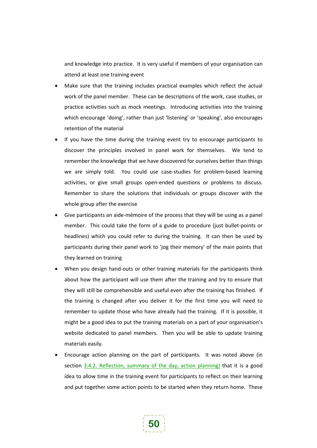and knowledge into practice. It is very useful if members of your organisation can attend at least one training event

- Make sure that the training includes practical examples which reflect the actual work of the panel member. These can be descriptions of the work, case studies, or practice activities such as mock meetings. Introducing activities into the training which encourage 'doing', rather than just 'listening' or 'speaking', also encourages retention of the material
- If you have the time during the training event try to encourage participants to discover the principles involved in panel work for themselves. We tend to remember the knowledge that we have discovered for ourselves better than things we are simply told. You could use case-studies for problem-based learning activities, or give small groups open-ended questions or problems to discuss. Remember to share the solutions that individuals or groups discover with the whole group after the exercise
- Give participants an aide-mémoire of the process that they will be using as a panel member. This could take the form of a guide to procedure (just bullet-points or headlines) which you could refer to during the training. It can then be used by participants during their panel work to 'jog their memory' of the main points that they learned on training
- When you design hand-outs or other training materials for the participants think about how the participant will use them after the training and try to ensure that they will still be comprehensible and useful even after the training has finished. If the training is changed after you deliver it for the first time you will need to remember to update those who have already had the training. If it is possible, it might be a good idea to put the training materials on a part of your organisation's website dedicated to panel members. Then you will be able to update training materials easily.
- Encourage action planning on the part of participants. It was noted above (in section [3.4.2.](#page-19-0) [Reflection, summary of the day, action planning\)](#page-19-0) that it is a good idea to allow time in the training event for participants to reflect on their learning and put together some action points to be started when they return home. These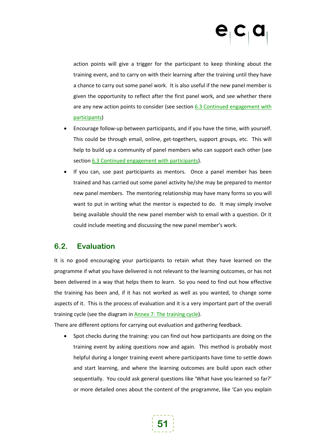action points will give a trigger for the participant to keep thinking about the training event, and to carry on with their learning after the training until they have a chance to carry out some panel work. It is also useful if the new panel member is given the opportunity to reflect after the first panel work, and see whether there are any new action points to consider (see section  $6.3$  Continued engagement with [participants](#page-52-0) )

- Encourage follow-up between participants, and if you have the time, with yourself. This could be through email, online, get-togethers, support groups, etc. This will help to build up a community of panel members who can support each other (see section [6.3](#page-52-0) [Continued engagement with participants](#page-52-0)).
- If you can, use past participants as mentors. Once a panel member has been trained and has carried out some panel activity he/she may be prepared to mentor new panel members. The mentoring relationship may have many forms so you will want to put in writing what the mentor is expected to do. It may simply involve being available should the new panel member wish to email with a question. Or it could include meeting and discussing the new panel member's work.

## **6.2. Evaluation**

It is no good encouraging your participants to retain what they have learned on the programme if what you have delivered is not relevant to the learning outcomes, or has not been delivered in a way that helps them to learn. So you need to find out how effective the training has been and, if it has not worked as well as you wanted, to change some aspects of it. This is the process of evaluation and it is a very important part of the overall training cycle (see the diagram in Annex [7: The training cycle\)](#page-72-0).

There are different options for carrying out evaluation and gathering feedback.

• Spot checks during the training: you can find out how participants are doing on the training event by asking questions now and again. This method is probably most helpful during a longer training event where participants have time to settle down and start learning, and where the learning outcomes are build upon each other sequentially. You could ask general questions like 'What have you learned so far?' or more detailed ones about the content of the programme, like 'Can you explain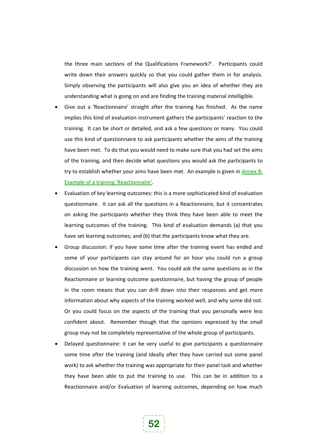the three main sections of the Qualifications Framework?'. Participants could write down their answers quickly so that you could gather them in for analysis. Simply observing the participants will also give you an idea of whether they are understanding what is going on and are finding the training material intelligible.

- Give out a 'Reactionnaire' straight after the training has finished. As the name implies this kind of evaluation instrument gathers the participants' reaction to the training. It can be short or detailed, and ask a few questions or many. You could use this kind of questionnaire to ask participants whether the aims of the training have been met. To do that you would need to make sure that you had set the aims of the training, and then decide what questions you would ask the participants to try to establish whether your aims have been met. An example is given in [Annex](#page-74-0) 8: [Example of a training 'Reactionnaire'.](#page-74-0)
- Evaluation of key learning outcomes: this is a more sophisticated kind of evaluation questionnaire. It can ask all the questions in a Reactionnaire, but it concentrates on asking the participants whether they think they have been able to meet the learning outcomes of the training. This kind of evaluation demands (a) that you have set learning outcomes; and (b) that the participants know what they are.
- Group discussion: if you have some time after the training event has ended and some of your participants can stay around for an hour you could run a group discussion on how the training went. You could ask the same questions as in the Reactionnaire or learning outcome questionnaire, but having the group of people in the room means that you can drill down into their responses and get more information about why aspects of the training worked well, and why some did not. Or you could focus on the aspects of the training that you personally were less confident about. Remember though that the opinions expressed by the small group may not be completely representative of the whole group of participants.
- Delayed questionnaire: it can be very useful to give participants a questionnaire some time after the training (and ideally after they have carried out some panel work) to ask whether the training was appropriate for their panel task and whether they have been able to put the training to use. This can be in addition to a Reactionnaire and/or Evaluation of learning outcomes, depending on how much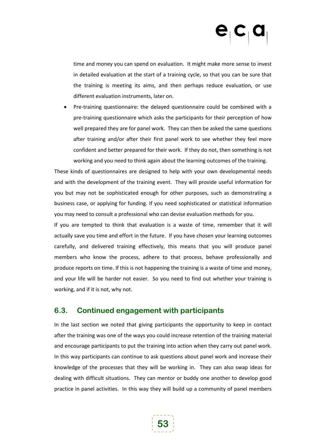time and money you can spend on evaluation. It might make more sense to invest in detailed evaluation at the start of a training cycle, so that you can be sure that the training is meeting its aims, and then perhaps reduce evaluation, or use different evaluation instruments, later on.

• Pre-training questionnaire: the delayed questionnaire could be combined with a pre-training questionnaire which asks the participants for their perception of how well prepared they are for panel work. They can then be asked the same questions after training and/or after their first panel work to see whether they feel more confident and better prepared for their work. If they do not, then something is not working and you need to think again about the learning outcomes of the training.

These kinds of questionnaires are designed to help with your own developmental needs and with the development of the training event. They will provide useful information for you but may not be sophisticated enough for other purposes, such as demonstrating a business case, or applying for funding. If you need sophisticated or statistical information you may need to consult a professional who can devise evaluation methods for you.

If you are tempted to think that evaluation is a waste of time, remember that it will actually save you time and effort in the future. If you have chosen your learning outcomes carefully, and delivered training effectively, this means that you will produce panel members who know the process, adhere to that process, behave professionally and produce reports on time. If this is not happening the training is a waste of time and money, and your life will be harder not easier. So you need to find out whether your training is working, and if it is not, why not.

## <span id="page-52-0"></span>**6.3. Continued engagement with participants**

In the last section we noted that giving participants the opportunity to keep in contact after the training was one of the ways you could increase retention of the training material and encourage participants to put the training into action when they carry out panel work. In this way participants can continue to ask questions about panel work and increase their knowledge of the processes that they will be working in. They can also swap ideas for dealing with difficult situations. They can mentor or buddy one another to develop good practice in panel activities. In this way they will build up a community of panel members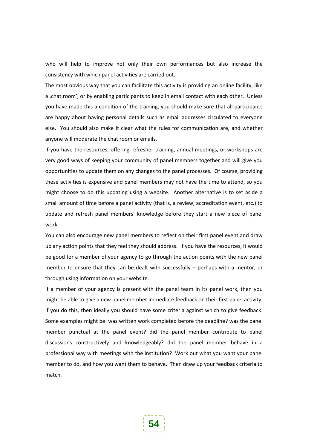who will help to improve not only their own performances but also increase the consistency with which panel activities are carried out.

The most obvious way that you can facilitate this activity is providing an online facility, like a, chat room', or by enabling participants to keep in email contact with each other. Unless you have made this a condition of the training, you should make sure that all participants are happy about having personal details such as email addresses circulated to everyone else. You should also make it clear what the rules for communication are, and whether anyone will moderate the chat room or emails.

If you have the resources, offering refresher training, annual meetings, or workshops are very good ways of keeping your community of panel members together and will give you opportunities to update them on any changes to the panel processes. Of course, providing these activities is expensive and panel members may not have the time to attend, so you might choose to do this updating using a website. Another alternative is to set aside a small amount of time before a panel activity (that is, a review, accreditation event, etc.) to update and refresh panel members' knowledge before they start a new piece of panel work.

You can also encourage new panel members to reflect on their first panel event and draw up any action points that they feel they should address. If you have the resources, it would be good for a member of your agency to go through the action points with the new panel member to ensure that they can be dealt with successfully – perhaps with a mentor, or through using information on your website.

If a member of your agency is present with the panel team in its panel work, then you might be able to give a new panel member immediate feedback on their first panel activity. If you do this, then ideally you should have some criteria against which to give feedback. Some examples might be: was written work completed before the deadline? was the panel member punctual at the panel event? did the panel member contribute to panel discussions constructively and knowledgeably? did the panel member behave in a professional way with meetings with the institution? Work out what you want your panel member to do, and how you want them to behave. Then draw up your feedback criteria to match.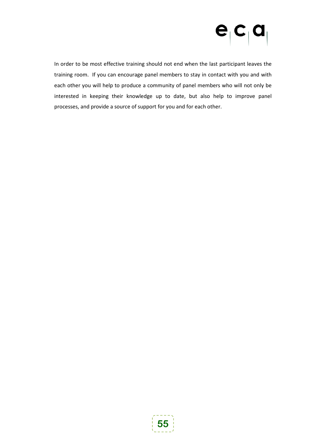# $e_{i}c_{i}a$

In order to be most effective training should not end when the last participant leaves the training room. If you can encourage panel members to stay in contact with you and with each other you will help to produce a community of panel members who will not only be interested in keeping their knowledge up to date, but also help to improve panel processes, and provide a source of support for you and for each other.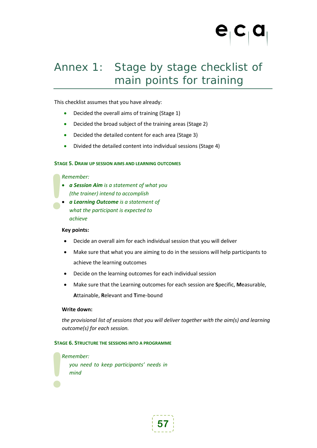## Annex 1: Stage by stage checklist of main points for training

This checklist assumes that you have already:

- Decided the overall aims of training (Stage 1)
- Decided the broad subject of the training areas (Stage 2)
- Decided the detailed content for each area (Stage 3)
- Divided the detailed content into individual sessions (Stage 4)

### **STAGE 5. DRAW UP SESSION AIMS AND LEARNING OUTCOMES**

### *Remember:*

- *a Session Aim is a statement of what you (the trainer) intend to accomplish*
- **.**<br> **.**<br> **.** • *a Learning Outcome is a statement of what the participant is expected to achieve*

### **Key points:**

- Decide an overall aim for each individual session that you will deliver
- Make sure that what you are aiming to do in the sessions will help participants to achieve the learning outcomes
- Decide on the learning outcomes for each individual session
- Make sure that the Learning outcomes for each session are **S**pecific, **M**easurable, **A**ttainable, **R**elevant and **T**ime-bound

### **Write down:**

*mind*

**|**<br>|

*the provisional list of sessions that you will deliver together with the aim(s) and learning outcome(s) for each session.*

### **STAGE 6. STRUCTURE THE SESSIONS INTO A PROGRAMME**

## *Remember: you need to keep participants' needs in*

**57**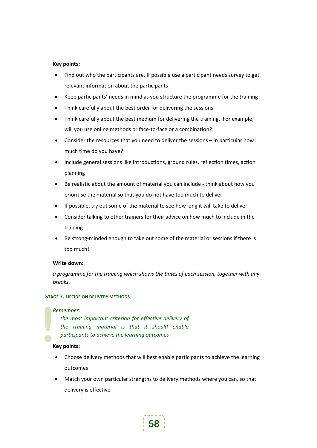### **Key points:**

- Find out who the participants are. If possible use a participant needs survey to get relevant information about the participants
- Keep participants' needs in mind as you structure the programme for the training
- Think carefully about the best order for delivering the sessions
- Think carefully about the best medium for delivering the training. For example, will you use online methods or face-to-face or a combination?
- Consider the resources that you need to deliver the sessions in particular how much time do you have?
- Include general sessions like introductions, ground rules, reflection times, action planning
- Be realistic about the amount of material you can include think about how you prioritise the material so that you do not have too much to deliver
- If possible, try out some of the material to see how long it will take to deliver
- Consider talking to other trainers for their advice on how much to include in the training
- Be strong-minded enough to take out some of the material or sessions if there is too much!

### **Write down:**

*a programme for the training which shows the times of each session, together with any breaks.*

### **STAGE 7. DECIDE ON DELIVERY METHODS**

### *Remember:*

*the most important criterion for effective delivery of the training material is that it should enable participants to achieve the learning outcomes*

# **a**<br>**1**<br>**1**<br>**1**<br>**1 Key points:**

- Choose delivery methods that will best enable participants to achieve the learning outcomes
- Match your own particular strengths to delivery methods where you can, so that delivery is effective

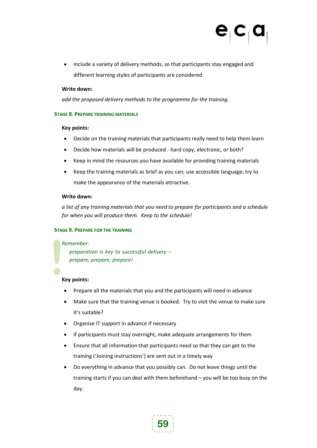• Include a variety of delivery methods, so that participants stay engaged and different learning styles of participants are considered

### **Write down:**

*add the proposed delivery methods to the programme for the training.*

### **STAGE 8. PREPARE TRAINING MATERIALS**

### **Key points:**

- Decide on the training materials that participants really need to help them learn
- Decide how materials will be produced hard copy, electronic, or both?
- Keep in mind the resources you have available for providing training materials
- Keep the training materials as brief as you can; use accessible language; try to make the appearance of the materials attractive.

### **Write down:**

*a list of any training materials that you need to prepare for participants and a schedule for when you will produce them. Keep to the schedule!*

### **STAGE 9. PREPARE FOR THE TRAINING**

### *Remember:*

*preparation is key to successful delivery – prepare, prepare, prepare!*

# **a**<br>**1**<br>**1**<br>**1**<br>**1 Key points:**

- Prepare all the materials that you and the participants will need in advance
- Make sure that the training venue is booked. Try to visit the venue to make sure it's suitable?
- Organise IT support in advance if necessary
- If participants must stay overnight, make adequate arrangements for them
- Ensure that all information that participants need so that they can get to the training ('Joining instructions') are sent out in a timely way
- Do everything in advance that you possibly can. Do not leave things until the training starts if you can deal with them beforehand – you will be too busy on the day.

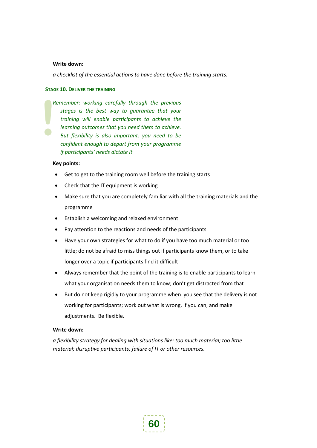### **Write down:**

*a checklist of the essential actions to have done before the training starts.*

### **STAGE 10. DELIVER THE TRAINING**

**|**<br>| *Remember: working carefully through the previous stages is the best way to guarantee that your training will enable participants to achieve the learning outcomes that you need them to achieve. But flexibility is also important: you need to be confident enough to depart from your programme if participants' needs dictate it*

### **Key points:**

- Get to get to the training room well before the training starts
- Check that the IT equipment is working
- Make sure that you are completely familiar with all the training materials and the programme
- Establish a welcoming and relaxed environment
- Pay attention to the reactions and needs of the participants
- Have your own strategies for what to do if you have too much material or too little; do not be afraid to miss things out if participants know them, or to take longer over a topic if participants find it difficult
- Always remember that the point of the training is to enable participants to learn what your organisation needs them to know; don't get distracted from that
- But do not keep rigidly to your programme when you see that the delivery is not working for participants; work out what is wrong, if you can, and make adjustments. Be flexible.

### **Write down:**

*a flexibility strategy for dealing with situations like: too much material; too little material; disruptive participants; failure of IT or other resources.*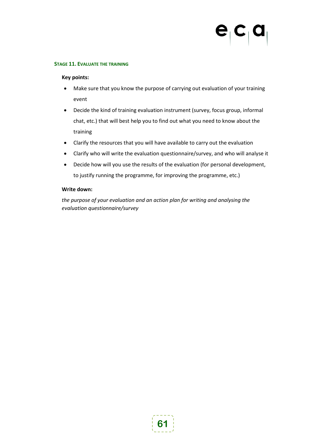# $\mathbf{e}^{\dagger}$ c $\mathbf{c}^{\dagger}$ c

### **STAGE 11. EVALUATE THE TRAINING**

### **Key points:**

- Make sure that you know the purpose of carrying out evaluation of your training event
- Decide the kind of training evaluation instrument (survey, focus group, informal chat, etc.) that will best help you to find out what you need to know about the training
- Clarify the resources that you will have available to carry out the evaluation
- Clarify who will write the evaluation questionnaire/survey, and who will analyse it
- Decide how will you use the results of the evaluation (for personal development, to justify running the programme, for improving the programme, etc.)

### **Write down:**

*the purpose of your evaluation and an action plan for writing and analysing the evaluation questionnaire/survey*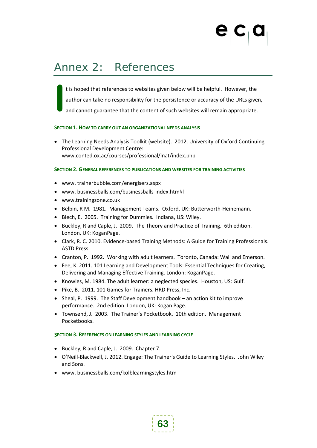## Annex 2: References

t is hoped that references to websites given below will be helpful. However, the author can take no responsibility for the persistence or accuracy of the URLs given, and cannot guarantee that the content of such websites will remain appropriate. **I**

### **SECTION 1. HOW TO CARRY OUT AN ORGANIZATIONAL NEEDS ANALYSIS**

• The Learning Needs Analysis Toolkit (website). 2012. University of Oxford Continuing Professional Development Centre: www.conted.ox.ac/courses/professional/lnat/index.php

### **SECTION 2. GENERAL REFERENCES TO PUBLICATIONS AND WEBSITES FOR TRAINING ACTIVITIES**

- www. trainerbubble.com/energisers.aspx
- www. businessballs.com/businessballs-index.htm#l
- www.trainingzone.co.uk
- Belbin, R M. 1981. Management Teams. Oxford, UK: Butterworth-Heinemann.
- Biech, E. 2005. Training for Dummies. Indiana, US: Wiley.
- Buckley, R and Caple, J. 2009. The Theory and Practice of Training. 6th edition. London, UK: KoganPage.
- Clark, R. C. 2010. Evidence-based Training Methods: A Guide for Training Professionals. ASTD Press.
- Cranton, P. 1992. Working with adult learners. Toronto, Canada: Wall and Emerson.
- Fee, K. 2011. 101 Learning and Development Tools: Essential Techniques for Creating, Delivering and Managing Effective Training. London: KoganPage.
- Knowles, M. 1984. The adult learner: a neglected species. Houston, US: Gulf.
- Pike, B. 2011. 101 Games for Trainers. HRD Press, Inc.
- Sheal, P. 1999. The Staff Development handbook an action kit to improve performance. 2nd edition. London, UK: Kogan Page.
- Townsend, J. 2003. The Trainer's Pocketbook. 10th edition. Management Pocketbooks.

### **SECTION 3. REFERENCES ON LEARNING STYLES AND LEARNING CYCLE**

- Buckley, R and Caple, J. 2009. Chapter 7.
- O'Neill-Blackwell, J. 2012. Engage: The Trainer's Guide to Learning Styles. John Wiley and Sons.
- www. businessballs.com/kolblearningstyles.htm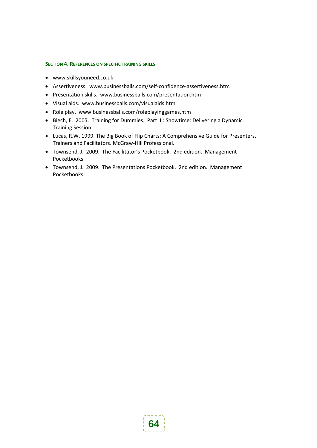### <span id="page-63-0"></span>**SECTION 4. REFERENCES ON SPECIFIC TRAINING SKILLS**

- [www.skillsyouneed.co.uk](http://www.skillsyouneed.co.uk/)
- Assertiveness. [www.businessballs.com/self-confidence-assertiveness.htm](http://www.businessballs.com/self-confidence-assertiveness.htm)
- Presentation skills. [www.businessballs.com/presentation.htm](http://www.businessballs.com/presentation.htm)
- Visual aids. [www.businessballs.com/visualaids.htm](http://www.businessballs.com/visualaids.htm)
- Role play. [www.businessballs.com/roleplayinggames.htm](http://www.businessballs.com/roleplayinggames.htm)
- Biech, E. 2005. Training for Dummies. Part III: Showtime: Delivering a Dynamic Training Session
- Lucas, R.W. 1999. The Big Book of Flip Charts: A Comprehensive Guide for Presenters, Trainers and Facilitators. McGraw-Hill Professional.
- Townsend, J. 2009. The Facilitator's Pocketbook. 2nd edition. Management Pocketbooks.
- Townsend, J. 2009. The Presentations Pocketbook. 2nd edition. Management Pocketbooks.

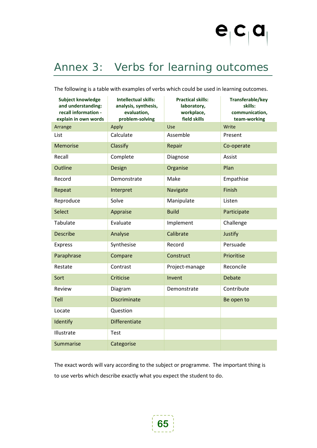

## Annex 3: Verbs for learning outcomes

The following is a table with examples of verbs which could be used in learning outcomes.

| Subject knowledge<br>and understanding:<br>recall information -<br>explain in own words | <b>Intellectual skills:</b><br>analysis, synthesis,<br>evaluation,<br>problem-solving | <b>Practical skills:</b><br>laboratory,<br>workplace,<br>field skills | Transferable/key<br>skills:<br>communication,<br>team-working |
|-----------------------------------------------------------------------------------------|---------------------------------------------------------------------------------------|-----------------------------------------------------------------------|---------------------------------------------------------------|
| Arrange                                                                                 | Apply                                                                                 | <b>Use</b>                                                            | Write                                                         |
| List                                                                                    | Calculate                                                                             | Assemble                                                              | Present                                                       |
| <b>Memorise</b>                                                                         | Classify                                                                              | Repair                                                                | Co-operate                                                    |
| Recall                                                                                  | Complete                                                                              | Diagnose                                                              | Assist                                                        |
| Outline                                                                                 | Design                                                                                | Organise                                                              | Plan                                                          |
| Record                                                                                  | Demonstrate                                                                           | Make                                                                  | Empathise                                                     |
| Repeat                                                                                  | Interpret                                                                             | Navigate                                                              | Finish                                                        |
| Reproduce                                                                               | Solve                                                                                 | Manipulate                                                            | Listen                                                        |
| Select                                                                                  | Appraise                                                                              | <b>Build</b>                                                          | Participate                                                   |
| Tabulate                                                                                | Evaluate                                                                              | Implement                                                             | Challenge                                                     |
| <b>Describe</b>                                                                         | Analyse                                                                               | Calibrate                                                             | Justify                                                       |
| Express                                                                                 | Synthesise                                                                            | Record                                                                | Persuade                                                      |
| Paraphrase                                                                              | Compare                                                                               | Construct                                                             | Prioritise                                                    |
| Restate                                                                                 | Contrast                                                                              | Project-manage                                                        | Reconcile                                                     |
| Sort                                                                                    | Criticise                                                                             | Invent                                                                | <b>Debate</b>                                                 |
| Review                                                                                  | Diagram                                                                               | Demonstrate                                                           | Contribute                                                    |
| Tell                                                                                    | <b>Discriminate</b>                                                                   |                                                                       | Be open to                                                    |
| Locate                                                                                  | Question                                                                              |                                                                       |                                                               |
| Identify                                                                                | <b>Differentiate</b>                                                                  |                                                                       |                                                               |
| Illustrate                                                                              | <b>Test</b>                                                                           |                                                                       |                                                               |
| Summarise                                                                               | Categorise                                                                            |                                                                       |                                                               |

The exact words will vary according to the subject or programme. The important thing is to use verbs which describe exactly what you expect the student to do.

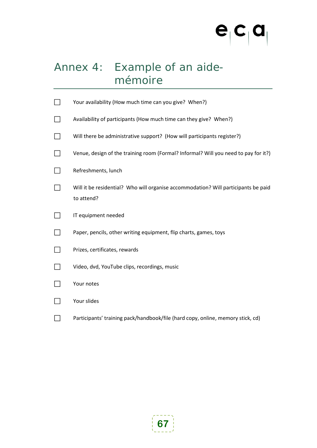# $e_{|}c_{|}a_{|}$

## Annex 4: Example of an aidemémoire

| Your availability (How much time can you give? When?)                                            |
|--------------------------------------------------------------------------------------------------|
| Availability of participants (How much time can they give? When?)                                |
| Will there be administrative support? (How will participants register?)                          |
| Venue, design of the training room (Formal? Informal? Will you need to pay for it?)              |
| Refreshments, lunch                                                                              |
| Will it be residential? Who will organise accommodation? Will participants be paid<br>to attend? |
| IT equipment needed                                                                              |
| Paper, pencils, other writing equipment, flip charts, games, toys                                |
| Prizes, certificates, rewards                                                                    |
| Video, dvd, YouTube clips, recordings, music                                                     |
| Your notes                                                                                       |
| Your slides                                                                                      |
| Participants' training pack/handbook/file (hard copy, online, memory stick, cd)                  |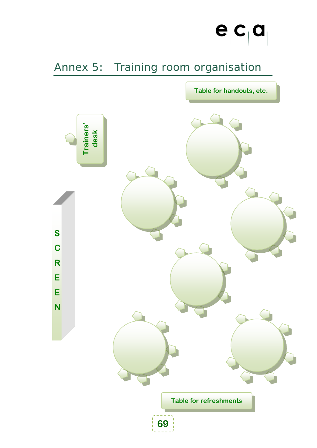

# Annex 5: Training room organisation

**Table for handouts, etc.**

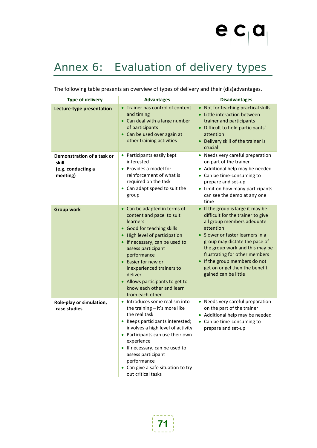

# <span id="page-70-0"></span>Annex 6: Evaluation of delivery types

The following table presents an overview of types of delivery and their (dis)advantages.

| <b>Type of delivery</b>                                               | <b>Advantages</b>                                                                                                                                                                                                                                                                                                                                                 | <b>Disadvantages</b>                                                                                                                                                                                                                                                                                                                               |
|-----------------------------------------------------------------------|-------------------------------------------------------------------------------------------------------------------------------------------------------------------------------------------------------------------------------------------------------------------------------------------------------------------------------------------------------------------|----------------------------------------------------------------------------------------------------------------------------------------------------------------------------------------------------------------------------------------------------------------------------------------------------------------------------------------------------|
| Lecture-type presentation                                             | Trainer has control of content<br>and timing<br>• Can deal with a large number<br>of participants<br>• Can be used over again at<br>other training activities                                                                                                                                                                                                     | • Not for teaching practical skills<br>Little interaction between<br>trainer and participants<br>• Difficult to hold participants'<br>attention<br>• Delivery skill of the trainer is<br>crucial                                                                                                                                                   |
| Demonstration of a task or<br>skill<br>(e.g. conducting a<br>meeting) | • Participants easily kept<br>interested<br>Provides a model for<br>reinforcement of what is<br>required on the task<br>Can adapt speed to suit the<br>group                                                                                                                                                                                                      | • Needs very careful preparation<br>on part of the trainer<br>Additional help may be needed<br>• Can be time-consuming to<br>prepare and set-up<br>• Limit on how many participants<br>can see the demo at any one<br>time                                                                                                                         |
| <b>Group work</b>                                                     | Can be adapted in terms of<br>content and pace to suit<br>learners<br>• Good for teaching skills<br>High level of participation<br>If necessary, can be used to<br>assess participant<br>performance<br>Easier for new or<br>$\bullet$<br>inexperienced trainers to<br>deliver<br>• Allows participants to get to<br>know each other and learn<br>from each other | • If the group is large it may be<br>difficult for the trainer to give<br>all group members adequate<br>attention<br>• Slower or faster learners in a<br>group may dictate the pace of<br>the group work and this may be<br>frustrating for other members<br>If the group members do not<br>get on or gel then the benefit<br>gained can be little |
| Role-play or simulation,<br>case studies                              | Introduces some realism into<br>the training - it's more like<br>the real task<br>Keeps participants interested;<br>involves a high level of activity<br>• Participants can use their own<br>experience<br>• If necessary, can be used to<br>assess participant<br>performance<br>• Can give a safe situation to try<br>out critical tasks                        | • Needs very careful preparation<br>on the part of the trainer<br>Additional help may be needed<br>Can be time-consuming to<br>prepare and set-up                                                                                                                                                                                                  |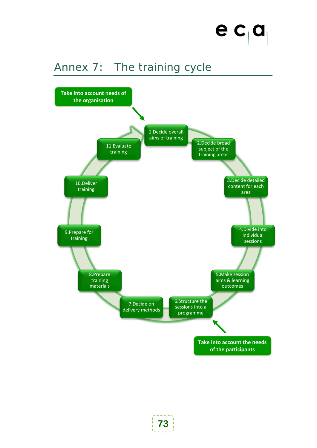

# Annex 7: The training cycle

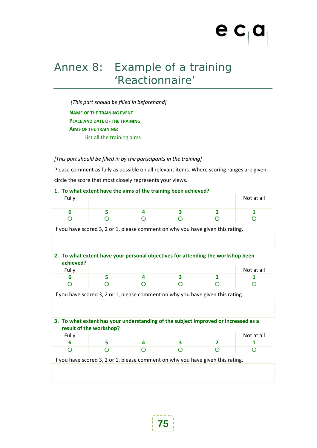## Annex 8: Example of a training 'Reactionnaire'

*[This part should be filled in beforehand]* **NAME OF THE TRAINING EVENT PLACE AND DATE OF THE TRAINING AIMS OF THE TRAINING:** List all the training aims

*[This part should be filled in by the participants in the training]*

Please comment as fully as possible on all relevant items. Where scoring ranges are given, circle the score that most closely represents your views.

#### **1. To what extent have the aims of the training been achieved?**

| Fully |  | - | Not at all |
|-------|--|---|------------|
|       |  |   |            |
|       |  |   |            |

If you have scored 3, 2 or 1, please comment on why you have given this rating.

#### **2. To what extent have your personal objectives for attending the workshop been achieved?**

| Fully |  |  | Not at all |
|-------|--|--|------------|
|       |  |  |            |
|       |  |  |            |

If you have scored 3, 2 or 1, please comment on why you have given this rating.

#### **3. To what extent has your understanding of the subject improved or increased as a result of the workshop?**

| Fully |  |  | Not at all |
|-------|--|--|------------|
|       |  |  |            |
|       |  |  |            |

If you have scored 3, 2 or 1, please comment on why you have given this rating.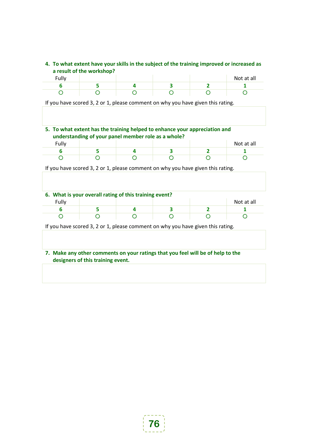### **4. To what extent have your skills in the subject of the training improved or increased as a result of the workshop?**

| Fully |  |  | Not at all |
|-------|--|--|------------|
|       |  |  |            |
|       |  |  |            |

If you have scored 3, 2 or 1, please comment on why you have given this rating.

### **5. To what extent has the training helped to enhance your appreciation and understanding of your panel member role as a whole?**

| Fully |  |  | Not at all |
|-------|--|--|------------|
|       |  |  |            |
|       |  |  |            |

If you have scored 3, 2 or 1, please comment on why you have given this rating.

| 6. What is your overall rating of this training event? |  |  |  |  |            |  |  |
|--------------------------------------------------------|--|--|--|--|------------|--|--|
| Fully                                                  |  |  |  |  | Not at all |  |  |
|                                                        |  |  |  |  |            |  |  |
|                                                        |  |  |  |  |            |  |  |

If you have scored 3, 2 or 1, please comment on why you have given this rating.

#### **7. Make any other comments on your ratings that you feel will be of help to the designers of this training event.**